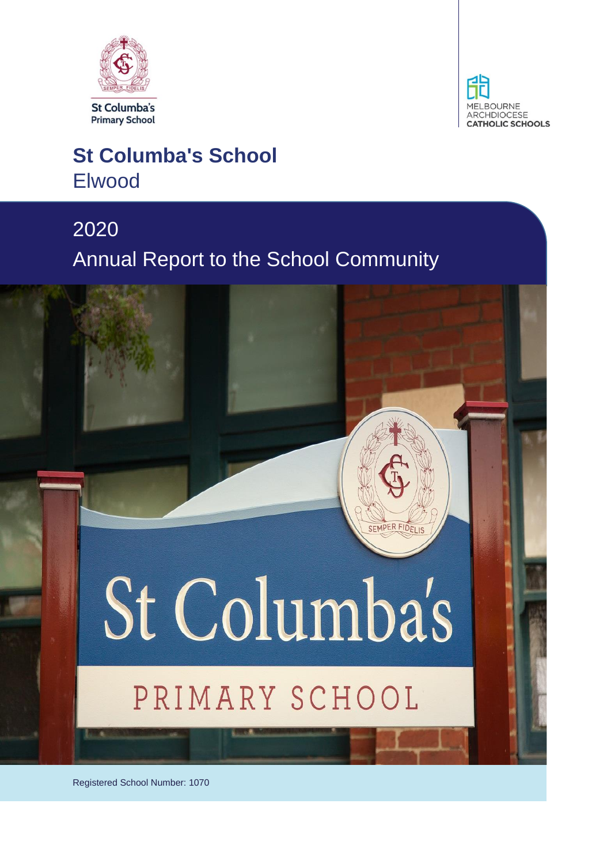



## **St Columba's School** Elwood

## 2020 Annual Report to the School Community

# St Columba's

SEMPER FIDEL

## PRIMARY SCHOOL

Registered School Number: 1070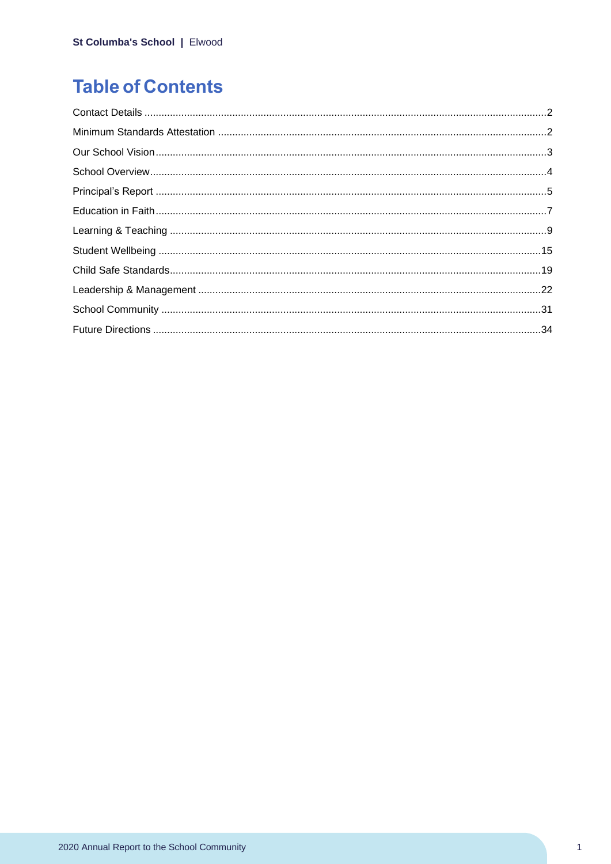## **Table of Contents**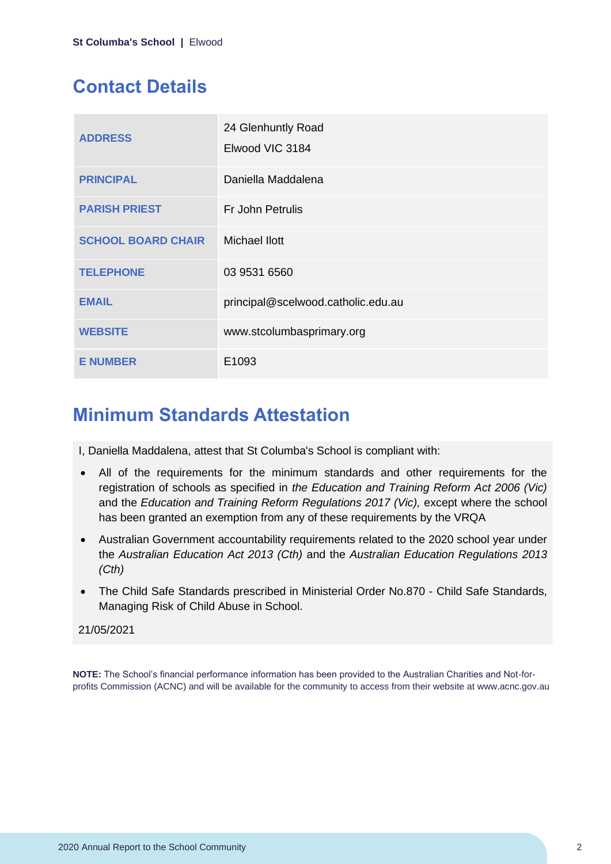## **Contact Details**

| <b>ADDRESS</b>            | 24 Glenhuntly Road<br>Elwood VIC 3184 |
|---------------------------|---------------------------------------|
| <b>PRINCIPAL</b>          | Daniella Maddalena                    |
| <b>PARISH PRIEST</b>      | Fr John Petrulis                      |
| <b>SCHOOL BOARD CHAIR</b> | Michael Ilott                         |
| <b>TELEPHONE</b>          | 03 9531 6560                          |
| <b>EMAIL</b>              | principal@scelwood.catholic.edu.au    |
| <b>WEBSITE</b>            | www.stcolumbasprimary.org             |
| <b>E NUMBER</b>           | E1093                                 |

## **Minimum Standards Attestation**

I, Daniella Maddalena, attest that St Columba's School is compliant with:

- All of the requirements for the minimum standards and other requirements for the registration of schools as specified in *the Education and Training Reform Act 2006 (Vic)* and the *Education and Training Reform Regulations 2017 (Vic),* except where the school has been granted an exemption from any of these requirements by the VRQA
- Australian Government accountability requirements related to the 2020 school year under the *Australian Education Act 2013 (Cth)* and the *Australian Education Regulations 2013 (Cth)*
- The Child Safe Standards prescribed in Ministerial Order No.870 Child Safe Standards, Managing Risk of Child Abuse in School.

#### 21/05/2021

**NOTE:** The School's financial performance information has been provided to the Australian Charities and Not-forprofits Commission (ACNC) and will be available for the community to access from their website at www.acnc.gov.au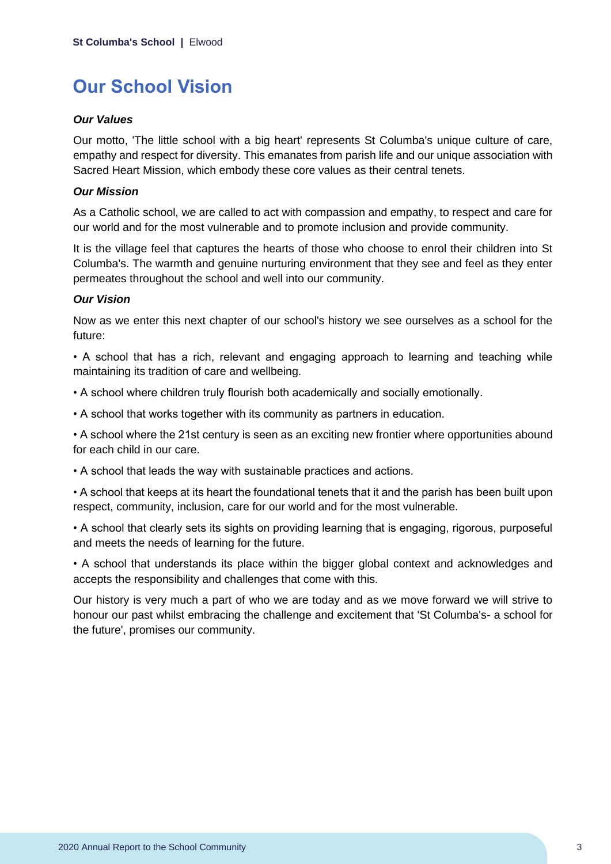## **Our School Vision**

#### *Our Values*

Our motto, 'The little school with a big heart' represents St Columba's unique culture of care, empathy and respect for diversity. This emanates from parish life and our unique association with Sacred Heart Mission, which embody these core values as their central tenets.

#### *Our Mission*

As a Catholic school, we are called to act with compassion and empathy, to respect and care for our world and for the most vulnerable and to promote inclusion and provide community.

It is the village feel that captures the hearts of those who choose to enrol their children into St Columba's. The warmth and genuine nurturing environment that they see and feel as they enter permeates throughout the school and well into our community.

#### *Our Vision*

Now as we enter this next chapter of our school's history we see ourselves as a school for the future:

• A school that has a rich, relevant and engaging approach to learning and teaching while maintaining its tradition of care and wellbeing.

- A school where children truly flourish both academically and socially emotionally.
- A school that works together with its community as partners in education.

• A school where the 21st century is seen as an exciting new frontier where opportunities abound for each child in our care.

• A school that leads the way with sustainable practices and actions.

• A school that keeps at its heart the foundational tenets that it and the parish has been built upon respect, community, inclusion, care for our world and for the most vulnerable.

• A school that clearly sets its sights on providing learning that is engaging, rigorous, purposeful and meets the needs of learning for the future.

• A school that understands its place within the bigger global context and acknowledges and accepts the responsibility and challenges that come with this.

Our history is very much a part of who we are today and as we move forward we will strive to honour our past whilst embracing the challenge and excitement that 'St Columba's- a school for the future', promises our community.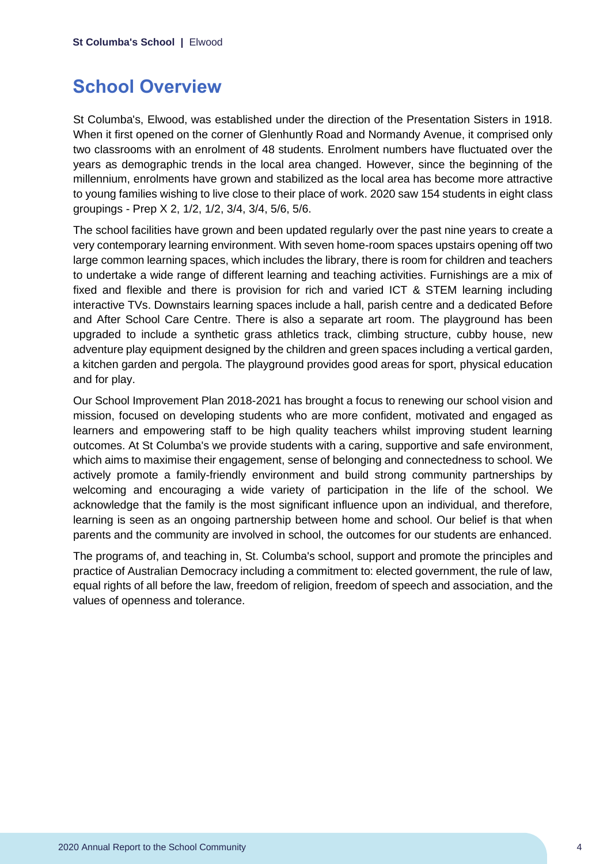## **School Overview**

St Columba's, Elwood, was established under the direction of the Presentation Sisters in 1918. When it first opened on the corner of Glenhuntly Road and Normandy Avenue, it comprised only two classrooms with an enrolment of 48 students. Enrolment numbers have fluctuated over the years as demographic trends in the local area changed. However, since the beginning of the millennium, enrolments have grown and stabilized as the local area has become more attractive to young families wishing to live close to their place of work. 2020 saw 154 students in eight class groupings - Prep X 2, 1/2, 1/2, 3/4, 3/4, 5/6, 5/6.

The school facilities have grown and been updated regularly over the past nine years to create a very contemporary learning environment. With seven home-room spaces upstairs opening off two large common learning spaces, which includes the library, there is room for children and teachers to undertake a wide range of different learning and teaching activities. Furnishings are a mix of fixed and flexible and there is provision for rich and varied ICT & STEM learning including interactive TVs. Downstairs learning spaces include a hall, parish centre and a dedicated Before and After School Care Centre. There is also a separate art room. The playground has been upgraded to include a synthetic grass athletics track, climbing structure, cubby house, new adventure play equipment designed by the children and green spaces including a vertical garden, a kitchen garden and pergola. The playground provides good areas for sport, physical education and for play.

Our School Improvement Plan 2018-2021 has brought a focus to renewing our school vision and mission, focused on developing students who are more confident, motivated and engaged as learners and empowering staff to be high quality teachers whilst improving student learning outcomes. At St Columba's we provide students with a caring, supportive and safe environment, which aims to maximise their engagement, sense of belonging and connectedness to school. We actively promote a family-friendly environment and build strong community partnerships by welcoming and encouraging a wide variety of participation in the life of the school. We acknowledge that the family is the most significant influence upon an individual, and therefore, learning is seen as an ongoing partnership between home and school. Our belief is that when parents and the community are involved in school, the outcomes for our students are enhanced.

The programs of, and teaching in, St. Columba's school, support and promote the principles and practice of Australian Democracy including a commitment to: elected government, the rule of law, equal rights of all before the law, freedom of religion, freedom of speech and association, and the values of openness and tolerance.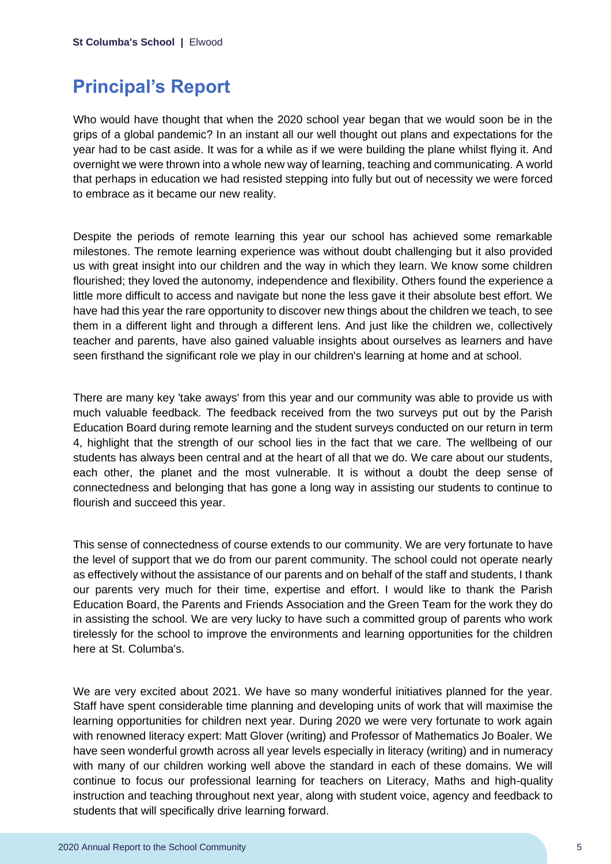## **Principal's Report**

Who would have thought that when the 2020 school year began that we would soon be in the grips of a global pandemic? In an instant all our well thought out plans and expectations for the year had to be cast aside. It was for a while as if we were building the plane whilst flying it. And overnight we were thrown into a whole new way of learning, teaching and communicating. A world that perhaps in education we had resisted stepping into fully but out of necessity we were forced to embrace as it became our new reality.

Despite the periods of remote learning this year our school has achieved some remarkable milestones. The remote learning experience was without doubt challenging but it also provided us with great insight into our children and the way in which they learn. We know some children flourished; they loved the autonomy, independence and flexibility. Others found the experience a little more difficult to access and navigate but none the less gave it their absolute best effort. We have had this year the rare opportunity to discover new things about the children we teach, to see them in a different light and through a different lens. And just like the children we, collectively teacher and parents, have also gained valuable insights about ourselves as learners and have seen firsthand the significant role we play in our children's learning at home and at school.

There are many key 'take aways' from this year and our community was able to provide us with much valuable feedback. The feedback received from the two surveys put out by the Parish Education Board during remote learning and the student surveys conducted on our return in term 4, highlight that the strength of our school lies in the fact that we care. The wellbeing of our students has always been central and at the heart of all that we do. We care about our students, each other, the planet and the most vulnerable. It is without a doubt the deep sense of connectedness and belonging that has gone a long way in assisting our students to continue to flourish and succeed this year.

This sense of connectedness of course extends to our community. We are very fortunate to have the level of support that we do from our parent community. The school could not operate nearly as effectively without the assistance of our parents and on behalf of the staff and students, I thank our parents very much for their time, expertise and effort. I would like to thank the Parish Education Board, the Parents and Friends Association and the Green Team for the work they do in assisting the school. We are very lucky to have such a committed group of parents who work tirelessly for the school to improve the environments and learning opportunities for the children here at St. Columba's.

We are very excited about 2021. We have so many wonderful initiatives planned for the year. Staff have spent considerable time planning and developing units of work that will maximise the learning opportunities for children next year. During 2020 we were very fortunate to work again with renowned literacy expert: Matt Glover (writing) and Professor of Mathematics Jo Boaler. We have seen wonderful growth across all year levels especially in literacy (writing) and in numeracy with many of our children working well above the standard in each of these domains. We will continue to focus our professional learning for teachers on Literacy, Maths and high-quality instruction and teaching throughout next year, along with student voice, agency and feedback to students that will specifically drive learning forward.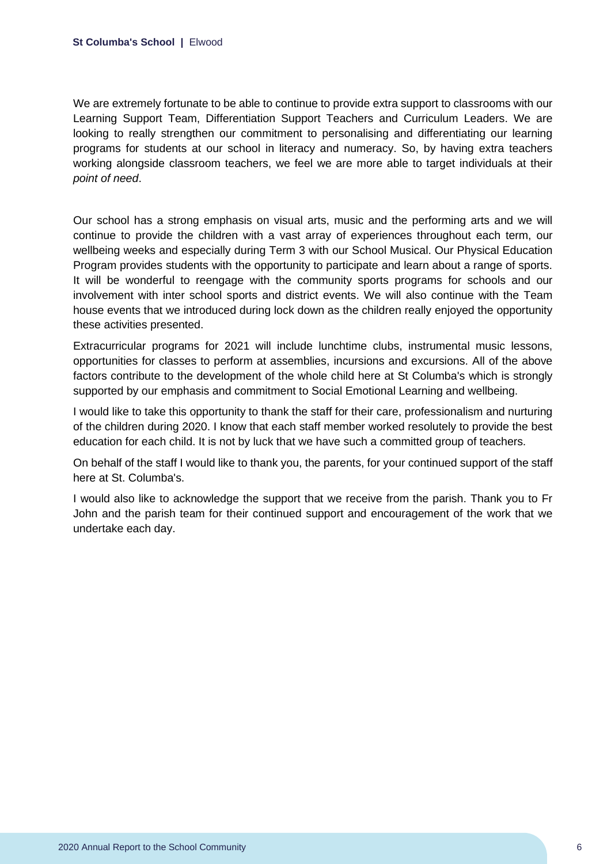We are extremely fortunate to be able to continue to provide extra support to classrooms with our Learning Support Team, Differentiation Support Teachers and Curriculum Leaders. We are looking to really strengthen our commitment to personalising and differentiating our learning programs for students at our school in literacy and numeracy. So, by having extra teachers working alongside classroom teachers, we feel we are more able to target individuals at their *point of need*.

Our school has a strong emphasis on visual arts, music and the performing arts and we will continue to provide the children with a vast array of experiences throughout each term, our wellbeing weeks and especially during Term 3 with our School Musical. Our Physical Education Program provides students with the opportunity to participate and learn about a range of sports. It will be wonderful to reengage with the community sports programs for schools and our involvement with inter school sports and district events. We will also continue with the Team house events that we introduced during lock down as the children really enjoyed the opportunity these activities presented.

Extracurricular programs for 2021 will include lunchtime clubs, instrumental music lessons, opportunities for classes to perform at assemblies, incursions and excursions. All of the above factors contribute to the development of the whole child here at St Columba's which is strongly supported by our emphasis and commitment to Social Emotional Learning and wellbeing.

I would like to take this opportunity to thank the staff for their care, professionalism and nurturing of the children during 2020. I know that each staff member worked resolutely to provide the best education for each child. It is not by luck that we have such a committed group of teachers.

On behalf of the staff I would like to thank you, the parents, for your continued support of the staff here at St. Columba's.

I would also like to acknowledge the support that we receive from the parish. Thank you to Fr John and the parish team for their continued support and encouragement of the work that we undertake each day.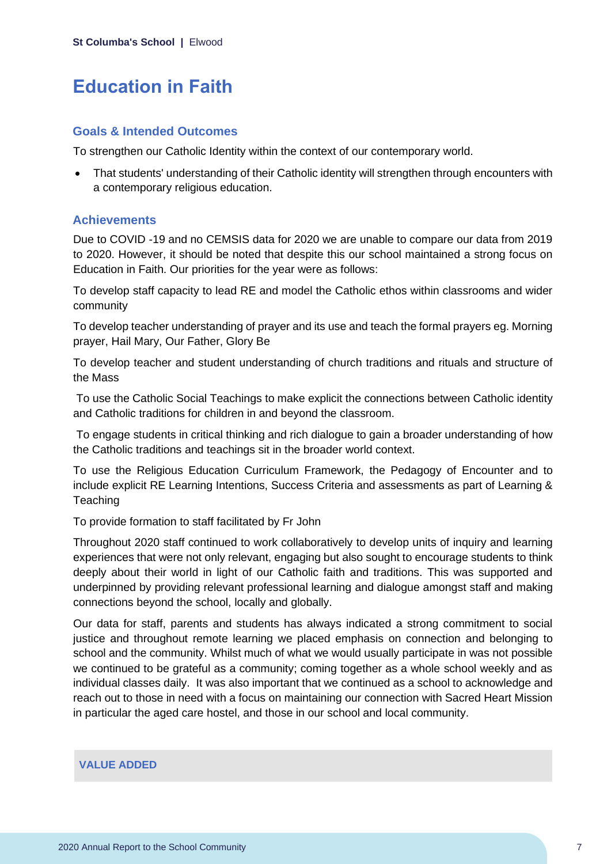## **Education in Faith**

#### **Goals & Intended Outcomes**

To strengthen our Catholic Identity within the context of our contemporary world.

• That students' understanding of their Catholic identity will strengthen through encounters with a contemporary religious education.

#### **Achievements**

Due to COVID -19 and no CEMSIS data for 2020 we are unable to compare our data from 2019 to 2020. However, it should be noted that despite this our school maintained a strong focus on Education in Faith. Our priorities for the year were as follows:

To develop staff capacity to lead RE and model the Catholic ethos within classrooms and wider community

To develop teacher understanding of prayer and its use and teach the formal prayers eg. Morning prayer, Hail Mary, Our Father, Glory Be

To develop teacher and student understanding of church traditions and rituals and structure of the Mass

To use the Catholic Social Teachings to make explicit the connections between Catholic identity and Catholic traditions for children in and beyond the classroom.

To engage students in critical thinking and rich dialogue to gain a broader understanding of how the Catholic traditions and teachings sit in the broader world context.

To use the Religious Education Curriculum Framework, the Pedagogy of Encounter and to include explicit RE Learning Intentions, Success Criteria and assessments as part of Learning & **Teaching** 

To provide formation to staff facilitated by Fr John

Throughout 2020 staff continued to work collaboratively to develop units of inquiry and learning experiences that were not only relevant, engaging but also sought to encourage students to think deeply about their world in light of our Catholic faith and traditions. This was supported and underpinned by providing relevant professional learning and dialogue amongst staff and making connections beyond the school, locally and globally.

Our data for staff, parents and students has always indicated a strong commitment to social justice and throughout remote learning we placed emphasis on connection and belonging to school and the community. Whilst much of what we would usually participate in was not possible we continued to be grateful as a community; coming together as a whole school weekly and as individual classes daily. It was also important that we continued as a school to acknowledge and reach out to those in need with a focus on maintaining our connection with Sacred Heart Mission in particular the aged care hostel, and those in our school and local community.

#### **VALUE ADDED**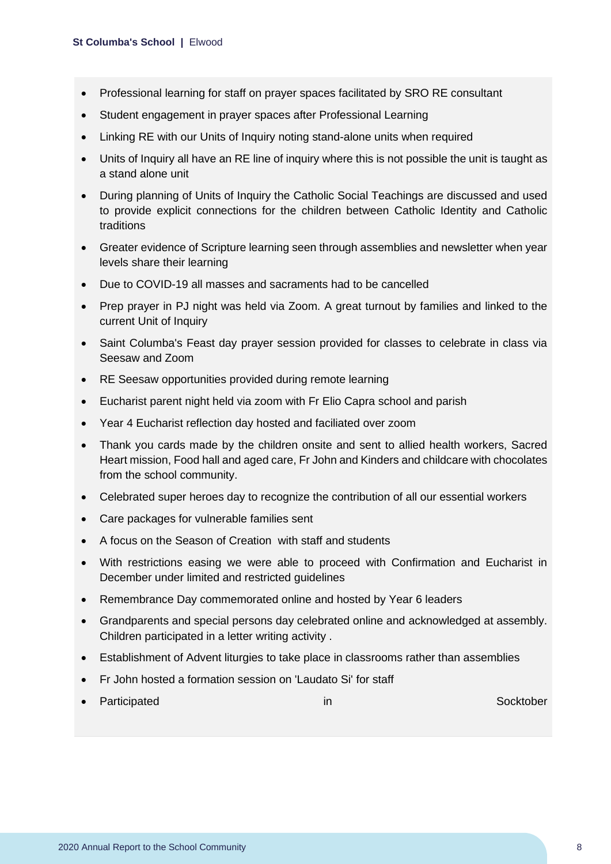- Professional learning for staff on prayer spaces facilitated by SRO RE consultant
- Student engagement in prayer spaces after Professional Learning
- Linking RE with our Units of Inquiry noting stand-alone units when required
- Units of Inquiry all have an RE line of inquiry where this is not possible the unit is taught as a stand alone unit
- During planning of Units of Inquiry the Catholic Social Teachings are discussed and used to provide explicit connections for the children between Catholic Identity and Catholic traditions
- Greater evidence of Scripture learning seen through assemblies and newsletter when year levels share their learning
- Due to COVID-19 all masses and sacraments had to be cancelled
- Prep prayer in PJ night was held via Zoom. A great turnout by families and linked to the current Unit of Inquiry
- Saint Columba's Feast day prayer session provided for classes to celebrate in class via Seesaw and Zoom
- RE Seesaw opportunities provided during remote learning
- Eucharist parent night held via zoom with Fr Elio Capra school and parish
- Year 4 Eucharist reflection day hosted and faciliated over zoom
- Thank you cards made by the children onsite and sent to allied health workers, Sacred Heart mission, Food hall and aged care, Fr John and Kinders and childcare with chocolates from the school community.
- Celebrated super heroes day to recognize the contribution of all our essential workers
- Care packages for vulnerable families sent
- A focus on the Season of Creation with staff and students
- With restrictions easing we were able to proceed with Confirmation and Eucharist in December under limited and restricted guidelines
- Remembrance Day commemorated online and hosted by Year 6 leaders
- Grandparents and special persons day celebrated online and acknowledged at assembly. Children participated in a letter writing activity .
- Establishment of Advent liturgies to take place in classrooms rather than assemblies
- Fr John hosted a formation session on 'Laudato Si' for staff
- Participated in Socktober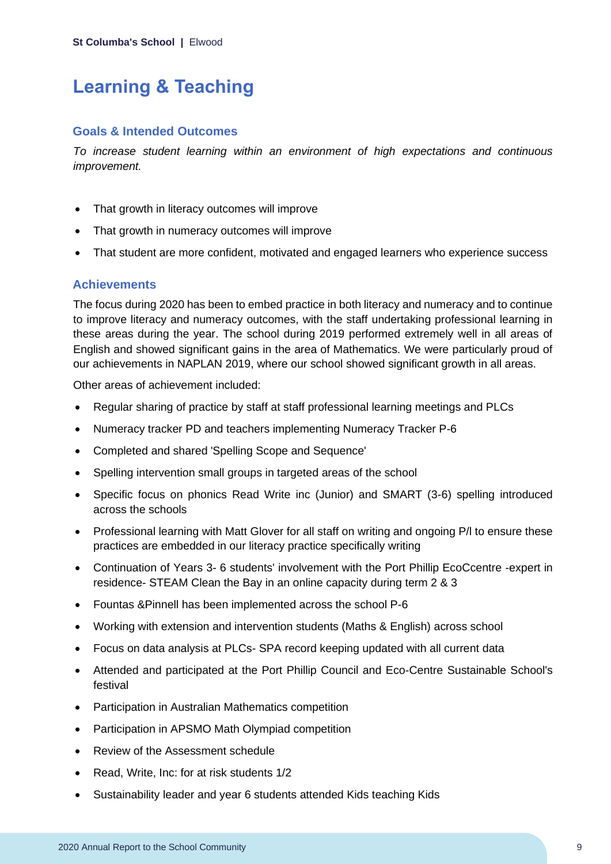## **Learning & Teaching**

#### **Goals & Intended Outcomes**

*To increase student learning within an environment of high expectations and continuous improvement.*

- That growth in literacy outcomes will improve
- That growth in numeracy outcomes will improve
- That student are more confident, motivated and engaged learners who experience success

#### **Achievements**

The focus during 2020 has been to embed practice in both literacy and numeracy and to continue to improve literacy and numeracy outcomes, with the staff undertaking professional learning in these areas during the year. The school during 2019 performed extremely well in all areas of English and showed significant gains in the area of Mathematics. We were particularly proud of our achievements in NAPLAN 2019, where our school showed significant growth in all areas.

Other areas of achievement included:

- Regular sharing of practice by staff at staff professional learning meetings and PLCs
- Numeracy tracker PD and teachers implementing Numeracy Tracker P-6
- Completed and shared 'Spelling Scope and Sequence'
- Spelling intervention small groups in targeted areas of the school
- Specific focus on phonics Read Write inc (Junior) and SMART (3-6) spelling introduced across the schools
- Professional learning with Matt Glover for all staff on writing and ongoing P/I to ensure these practices are embedded in our literacy practice specifically writing
- Continuation of Years 3-6 students' involvement with the Port Phillip EcoCcentre -expert in residence- STEAM Clean the Bay in an online capacity during term 2 & 3
- Fountas &Pinnell has been implemented across the school P-6
- Working with extension and intervention students (Maths & English) across school
- Focus on data analysis at PLCs- SPA record keeping updated with all current data
- Attended and participated at the Port Phillip Council and Eco-Centre Sustainable School's festival
- Participation in Australian Mathematics competition
- Participation in APSMO Math Olympiad competition
- Review of the Assessment schedule
- Read, Write, Inc: for at risk students 1/2
- Sustainability leader and year 6 students attended Kids teaching Kids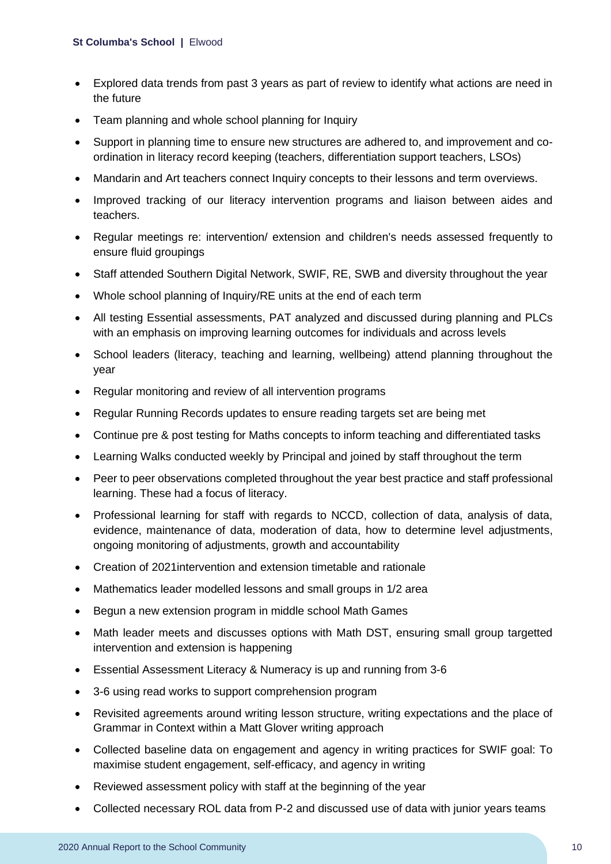- Explored data trends from past 3 years as part of review to identify what actions are need in the future
- Team planning and whole school planning for Inquiry
- Support in planning time to ensure new structures are adhered to, and improvement and coordination in literacy record keeping (teachers, differentiation support teachers, LSOs)
- Mandarin and Art teachers connect Inquiry concepts to their lessons and term overviews.
- Improved tracking of our literacy intervention programs and liaison between aides and teachers.
- Regular meetings re: intervention/ extension and children's needs assessed frequently to ensure fluid groupings
- Staff attended Southern Digital Network, SWIF, RE, SWB and diversity throughout the year
- Whole school planning of Inquiry/RE units at the end of each term
- All testing Essential assessments, PAT analyzed and discussed during planning and PLCs with an emphasis on improving learning outcomes for individuals and across levels
- School leaders (literacy, teaching and learning, wellbeing) attend planning throughout the year
- Regular monitoring and review of all intervention programs
- Regular Running Records updates to ensure reading targets set are being met
- Continue pre & post testing for Maths concepts to inform teaching and differentiated tasks
- Learning Walks conducted weekly by Principal and joined by staff throughout the term
- Peer to peer observations completed throughout the year best practice and staff professional learning. These had a focus of literacy.
- Professional learning for staff with regards to NCCD, collection of data, analysis of data, evidence, maintenance of data, moderation of data, how to determine level adjustments, ongoing monitoring of adjustments, growth and accountability
- Creation of 2021intervention and extension timetable and rationale
- Mathematics leader modelled lessons and small groups in 1/2 area
- Begun a new extension program in middle school Math Games
- Math leader meets and discusses options with Math DST, ensuring small group targetted intervention and extension is happening
- Essential Assessment Literacy & Numeracy is up and running from 3-6
- 3-6 using read works to support comprehension program
- Revisited agreements around writing lesson structure, writing expectations and the place of Grammar in Context within a Matt Glover writing approach
- Collected baseline data on engagement and agency in writing practices for SWIF goal: To maximise student engagement, self-efficacy, and agency in writing
- Reviewed assessment policy with staff at the beginning of the year
- Collected necessary ROL data from P-2 and discussed use of data with junior years teams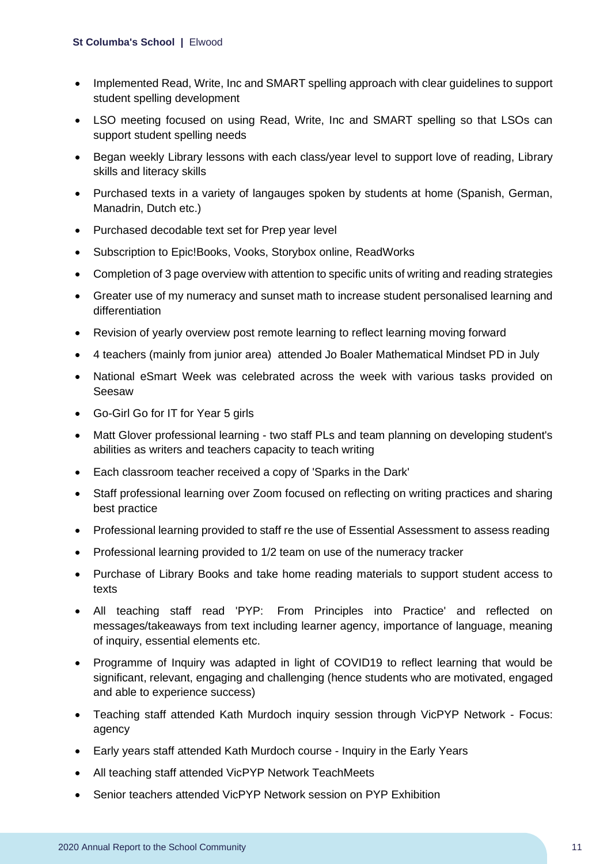- Implemented Read, Write, Inc and SMART spelling approach with clear guidelines to support student spelling development
- LSO meeting focused on using Read, Write, Inc and SMART spelling so that LSOs can support student spelling needs
- Began weekly Library lessons with each class/year level to support love of reading, Library skills and literacy skills
- Purchased texts in a variety of langauges spoken by students at home (Spanish, German, Manadrin, Dutch etc.)
- Purchased decodable text set for Prep year level
- Subscription to Epic!Books, Vooks, Storybox online, ReadWorks
- Completion of 3 page overview with attention to specific units of writing and reading strategies
- Greater use of my numeracy and sunset math to increase student personalised learning and differentiation
- Revision of yearly overview post remote learning to reflect learning moving forward
- 4 teachers (mainly from junior area) attended Jo Boaler Mathematical Mindset PD in July
- National eSmart Week was celebrated across the week with various tasks provided on Seesaw
- Go-Girl Go for IT for Year 5 girls
- Matt Glover professional learning two staff PLs and team planning on developing student's abilities as writers and teachers capacity to teach writing
- Each classroom teacher received a copy of 'Sparks in the Dark'
- Staff professional learning over Zoom focused on reflecting on writing practices and sharing best practice
- Professional learning provided to staff re the use of Essential Assessment to assess reading
- Professional learning provided to 1/2 team on use of the numeracy tracker
- Purchase of Library Books and take home reading materials to support student access to texts
- All teaching staff read 'PYP: From Principles into Practice' and reflected on messages/takeaways from text including learner agency, importance of language, meaning of inquiry, essential elements etc.
- Programme of Inquiry was adapted in light of COVID19 to reflect learning that would be significant, relevant, engaging and challenging (hence students who are motivated, engaged and able to experience success)
- Teaching staff attended Kath Murdoch inquiry session through VicPYP Network Focus: agency
- Early years staff attended Kath Murdoch course Inquiry in the Early Years
- All teaching staff attended VicPYP Network TeachMeets
- Senior teachers attended VicPYP Network session on PYP Exhibition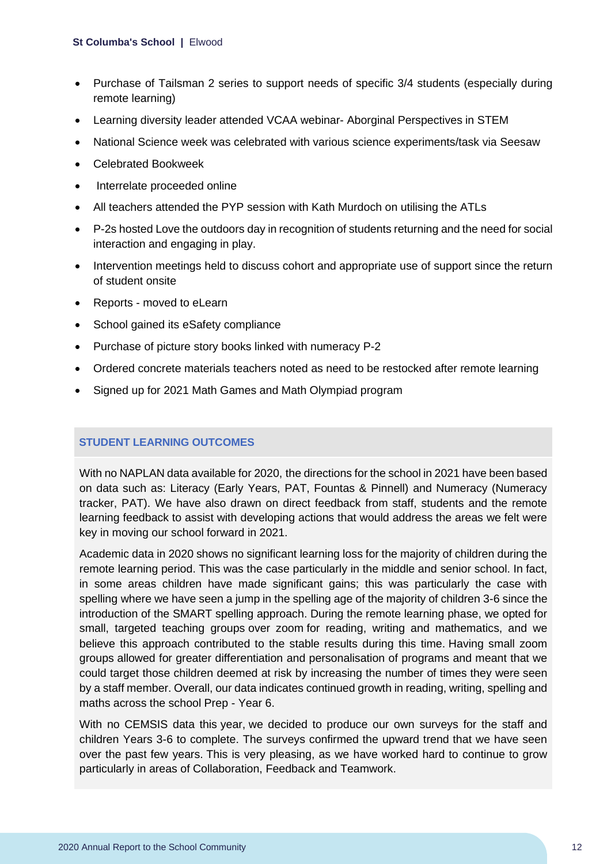#### **St Columba's School |** Elwood

- Purchase of Tailsman 2 series to support needs of specific 3/4 students (especially during remote learning)
- Learning diversity leader attended VCAA webinar- Aborginal Perspectives in STEM
- National Science week was celebrated with various science experiments/task via Seesaw
- Celebrated Bookweek
- Interrelate proceeded online
- All teachers attended the PYP session with Kath Murdoch on utilising the ATLs
- P-2s hosted Love the outdoors day in recognition of students returning and the need for social interaction and engaging in play.
- Intervention meetings held to discuss cohort and appropriate use of support since the return of student onsite
- Reports moved to eLearn
- School gained its eSafety compliance
- Purchase of picture story books linked with numeracy P-2
- Ordered concrete materials teachers noted as need to be restocked after remote learning
- Signed up for 2021 Math Games and Math Olympiad program

#### **STUDENT LEARNING OUTCOMES**

With no NAPLAN data available for 2020, the directions for the school in 2021 have been based on data such as: Literacy (Early Years, PAT, Fountas & Pinnell) and Numeracy (Numeracy tracker, PAT). We have also drawn on direct feedback from staff, students and the remote learning feedback to assist with developing actions that would address the areas we felt were key in moving our school forward in 2021.

Academic data in 2020 shows no significant learning loss for the majority of children during the remote learning period. This was the case particularly in the middle and senior school. In fact, in some areas children have made significant gains; this was particularly the case with spelling where we have seen a jump in the spelling age of the majority of children 3-6 since the introduction of the SMART spelling approach. During the remote learning phase, we opted for small, targeted teaching groups over zoom for reading, writing and mathematics, and we believe this approach contributed to the stable results during this time. Having small zoom groups allowed for greater differentiation and personalisation of programs and meant that we could target those children deemed at risk by increasing the number of times they were seen by a staff member. Overall, our data indicates continued growth in reading, writing, spelling and maths across the school Prep - Year 6.

With no CEMSIS data this year, we decided to produce our own surveys for the staff and children Years 3-6 to complete. The surveys confirmed the upward trend that we have seen over the past few years. This is very pleasing, as we have worked hard to continue to grow particularly in areas of Collaboration, Feedback and Teamwork.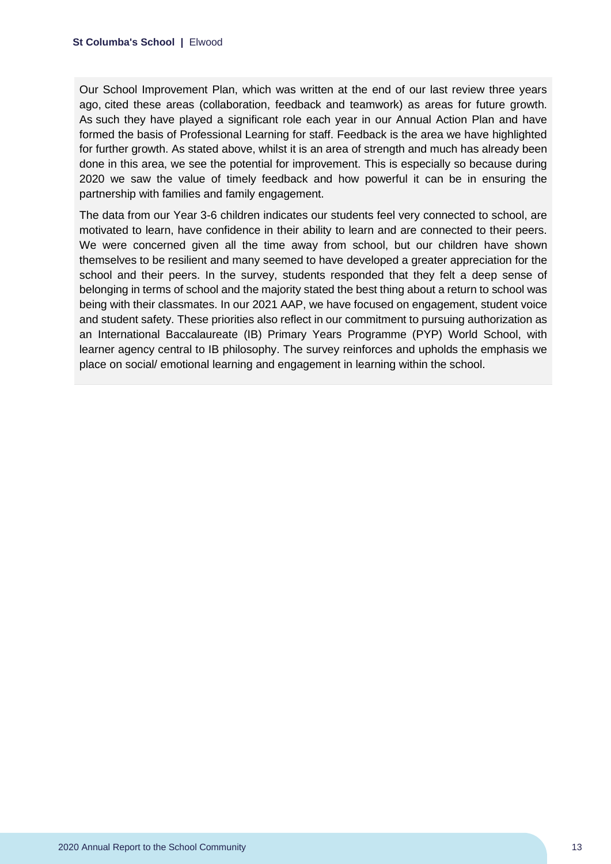Our School Improvement Plan, which was written at the end of our last review three years ago, cited these areas (collaboration, feedback and teamwork) as areas for future growth. As such they have played a significant role each year in our Annual Action Plan and have formed the basis of Professional Learning for staff. Feedback is the area we have highlighted for further growth. As stated above, whilst it is an area of strength and much has already been done in this area, we see the potential for improvement. This is especially so because during 2020 we saw the value of timely feedback and how powerful it can be in ensuring the partnership with families and family engagement.

The data from our Year 3-6 children indicates our students feel very connected to school, are motivated to learn, have confidence in their ability to learn and are connected to their peers. We were concerned given all the time away from school, but our children have shown themselves to be resilient and many seemed to have developed a greater appreciation for the school and their peers. In the survey, students responded that they felt a deep sense of belonging in terms of school and the majority stated the best thing about a return to school was being with their classmates. In our 2021 AAP, we have focused on engagement, student voice and student safety. These priorities also reflect in our commitment to pursuing authorization as an International Baccalaureate (IB) Primary Years Programme (PYP) World School, with learner agency central to IB philosophy. The survey reinforces and upholds the emphasis we place on social/ emotional learning and engagement in learning within the school.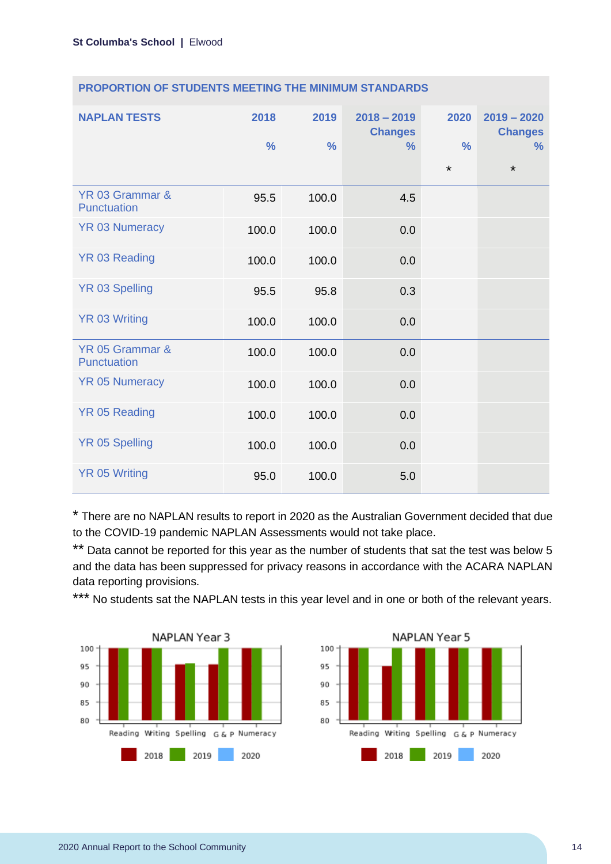| <b>NAPLAN TESTS</b>            | 2018<br>$\frac{0}{0}$ | 2019<br>$\frac{0}{0}$ | $2018 - 2019$<br><b>Changes</b><br>$\%$ | 2020<br>$\frac{0}{0}$<br>$\star$ | $2019 - 2020$<br><b>Changes</b><br>$\%$<br>$\star$ |
|--------------------------------|-----------------------|-----------------------|-----------------------------------------|----------------------------------|----------------------------------------------------|
| YR 03 Grammar &<br>Punctuation | 95.5                  | 100.0                 | 4.5                                     |                                  |                                                    |
| <b>YR 03 Numeracy</b>          | 100.0                 | 100.0                 | 0.0                                     |                                  |                                                    |
| <b>YR 03 Reading</b>           | 100.0                 | 100.0                 | 0.0                                     |                                  |                                                    |
| <b>YR 03 Spelling</b>          | 95.5                  | 95.8                  | 0.3                                     |                                  |                                                    |
| <b>YR 03 Writing</b>           | 100.0                 | 100.0                 | 0.0                                     |                                  |                                                    |
| YR 05 Grammar &<br>Punctuation | 100.0                 | 100.0                 | 0.0                                     |                                  |                                                    |
| <b>YR 05 Numeracy</b>          | 100.0                 | 100.0                 | 0.0                                     |                                  |                                                    |
| <b>YR 05 Reading</b>           | 100.0                 | 100.0                 | 0.0                                     |                                  |                                                    |
| <b>YR 05 Spelling</b>          | 100.0                 | 100.0                 | 0.0                                     |                                  |                                                    |
| <b>YR 05 Writing</b>           | 95.0                  | 100.0                 | 5.0                                     |                                  |                                                    |

\* There are no NAPLAN results to report in 2020 as the Australian Government decided that due to the COVID-19 pandemic NAPLAN Assessments would not take place.

\*\* Data cannot be reported for this year as the number of students that sat the test was below 5 and the data has been suppressed for privacy reasons in accordance with the ACARA NAPLAN data reporting provisions.

\*\*\* No students sat the NAPLAN tests in this year level and in one or both of the relevant years.



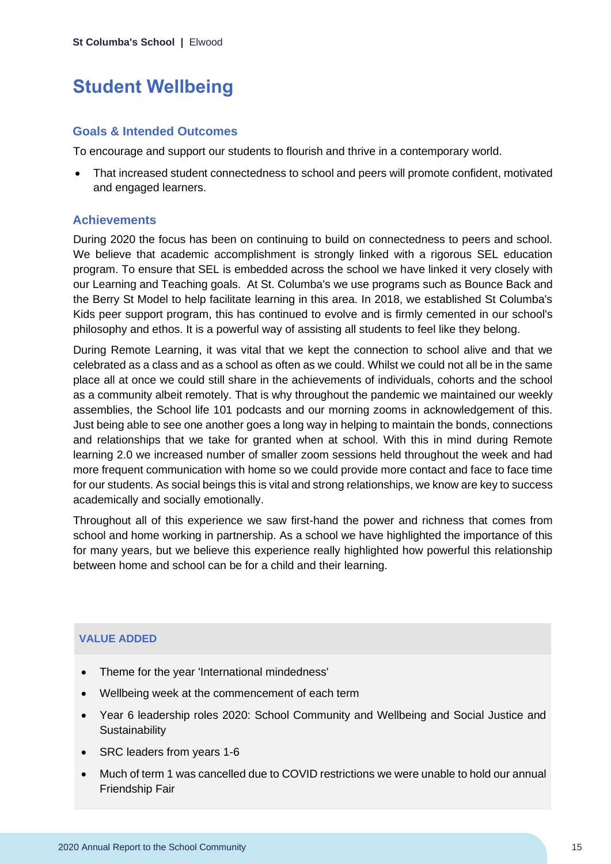## **Student Wellbeing**

#### **Goals & Intended Outcomes**

To encourage and support our students to flourish and thrive in a contemporary world.

• That increased student connectedness to school and peers will promote confident, motivated and engaged learners.

#### **Achievements**

During 2020 the focus has been on continuing to build on connectedness to peers and school. We believe that academic accomplishment is strongly linked with a rigorous SEL education program. To ensure that SEL is embedded across the school we have linked it very closely with our Learning and Teaching goals. At St. Columba's we use programs such as Bounce Back and the Berry St Model to help facilitate learning in this area. In 2018, we established St Columba's Kids peer support program, this has continued to evolve and is firmly cemented in our school's philosophy and ethos. It is a powerful way of assisting all students to feel like they belong.

During Remote Learning, it was vital that we kept the connection to school alive and that we celebrated as a class and as a school as often as we could. Whilst we could not all be in the same place all at once we could still share in the achievements of individuals, cohorts and the school as a community albeit remotely. That is why throughout the pandemic we maintained our weekly assemblies, the School life 101 podcasts and our morning zooms in acknowledgement of this. Just being able to see one another goes a long way in helping to maintain the bonds, connections and relationships that we take for granted when at school. With this in mind during Remote learning 2.0 we increased number of smaller zoom sessions held throughout the week and had more frequent communication with home so we could provide more contact and face to face time for our students. As social beings this is vital and strong relationships, we know are key to success academically and socially emotionally.

Throughout all of this experience we saw first-hand the power and richness that comes from school and home working in partnership. As a school we have highlighted the importance of this for many years, but we believe this experience really highlighted how powerful this relationship between home and school can be for a child and their learning.

#### **VALUE ADDED**

- Theme for the year 'International mindedness'
- Wellbeing week at the commencement of each term
- Year 6 leadership roles 2020: School Community and Wellbeing and Social Justice and **Sustainability**
- SRC leaders from years 1-6
- Much of term 1 was cancelled due to COVID restrictions we were unable to hold our annual Friendship Fair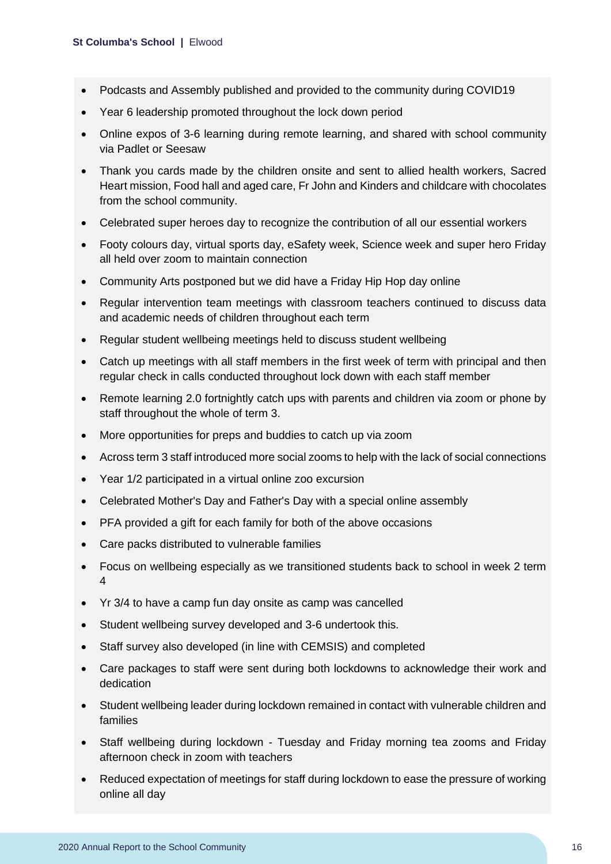- Podcasts and Assembly published and provided to the community during COVID19
- Year 6 leadership promoted throughout the lock down period
- Online expos of 3-6 learning during remote learning, and shared with school community via Padlet or Seesaw
- Thank you cards made by the children onsite and sent to allied health workers, Sacred Heart mission, Food hall and aged care, Fr John and Kinders and childcare with chocolates from the school community.
- Celebrated super heroes day to recognize the contribution of all our essential workers
- Footy colours day, virtual sports day, eSafety week, Science week and super hero Friday all held over zoom to maintain connection
- Community Arts postponed but we did have a Friday Hip Hop day online
- Regular intervention team meetings with classroom teachers continued to discuss data and academic needs of children throughout each term
- Regular student wellbeing meetings held to discuss student wellbeing
- Catch up meetings with all staff members in the first week of term with principal and then regular check in calls conducted throughout lock down with each staff member
- Remote learning 2.0 fortnightly catch ups with parents and children via zoom or phone by staff throughout the whole of term 3.
- More opportunities for preps and buddies to catch up via zoom
- Across term 3 staff introduced more social zooms to help with the lack of social connections
- Year 1/2 participated in a virtual online zoo excursion
- Celebrated Mother's Day and Father's Day with a special online assembly
- PFA provided a gift for each family for both of the above occasions
- Care packs distributed to vulnerable families
- Focus on wellbeing especially as we transitioned students back to school in week 2 term 4
- Yr 3/4 to have a camp fun day onsite as camp was cancelled
- Student wellbeing survey developed and 3-6 undertook this.
- Staff survey also developed (in line with CEMSIS) and completed
- Care packages to staff were sent during both lockdowns to acknowledge their work and dedication
- Student wellbeing leader during lockdown remained in contact with vulnerable children and families
- Staff wellbeing during lockdown Tuesday and Friday morning tea zooms and Friday afternoon check in zoom with teachers
- Reduced expectation of meetings for staff during lockdown to ease the pressure of working online all day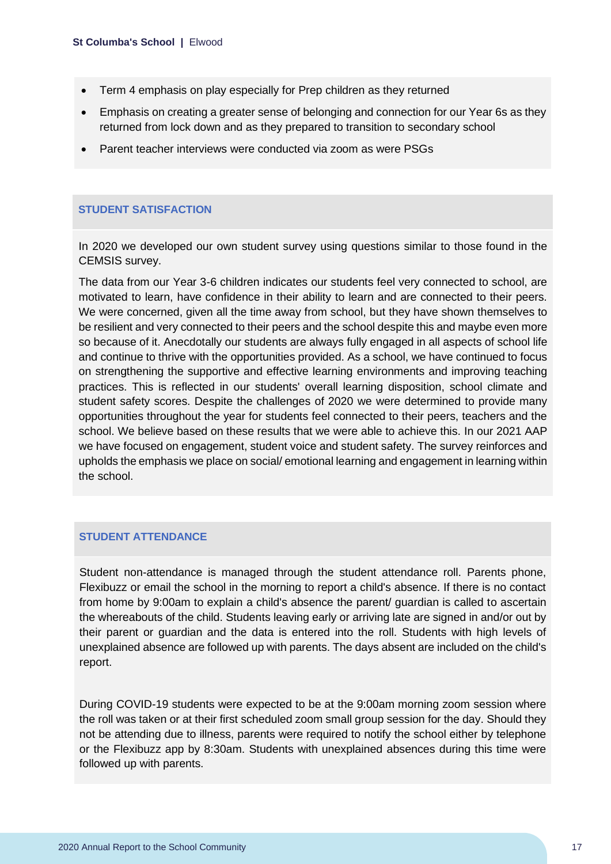- Term 4 emphasis on play especially for Prep children as they returned
- Emphasis on creating a greater sense of belonging and connection for our Year 6s as they returned from lock down and as they prepared to transition to secondary school
- Parent teacher interviews were conducted via zoom as were PSGs

#### **STUDENT SATISFACTION**

In 2020 we developed our own student survey using questions similar to those found in the CEMSIS survey.

The data from our Year 3-6 children indicates our students feel very connected to school, are motivated to learn, have confidence in their ability to learn and are connected to their peers. We were concerned, given all the time away from school, but they have shown themselves to be resilient and very connected to their peers and the school despite this and maybe even more so because of it. Anecdotally our students are always fully engaged in all aspects of school life and continue to thrive with the opportunities provided. As a school, we have continued to focus on strengthening the supportive and effective learning environments and improving teaching practices. This is reflected in our students' overall learning disposition, school climate and student safety scores. Despite the challenges of 2020 we were determined to provide many opportunities throughout the year for students feel connected to their peers, teachers and the school. We believe based on these results that we were able to achieve this. In our 2021 AAP we have focused on engagement, student voice and student safety. The survey reinforces and upholds the emphasis we place on social/ emotional learning and engagement in learning within the school.

#### **STUDENT ATTENDANCE**

Student non-attendance is managed through the student attendance roll. Parents phone, Flexibuzz or email the school in the morning to report a child's absence. If there is no contact from home by 9:00am to explain a child's absence the parent/ guardian is called to ascertain the whereabouts of the child. Students leaving early or arriving late are signed in and/or out by their parent or guardian and the data is entered into the roll. Students with high levels of unexplained absence are followed up with parents. The days absent are included on the child's report.

During COVID-19 students were expected to be at the 9:00am morning zoom session where the roll was taken or at their first scheduled zoom small group session for the day. Should they not be attending due to illness, parents were required to notify the school either by telephone or the Flexibuzz app by 8:30am. Students with unexplained absences during this time were followed up with parents.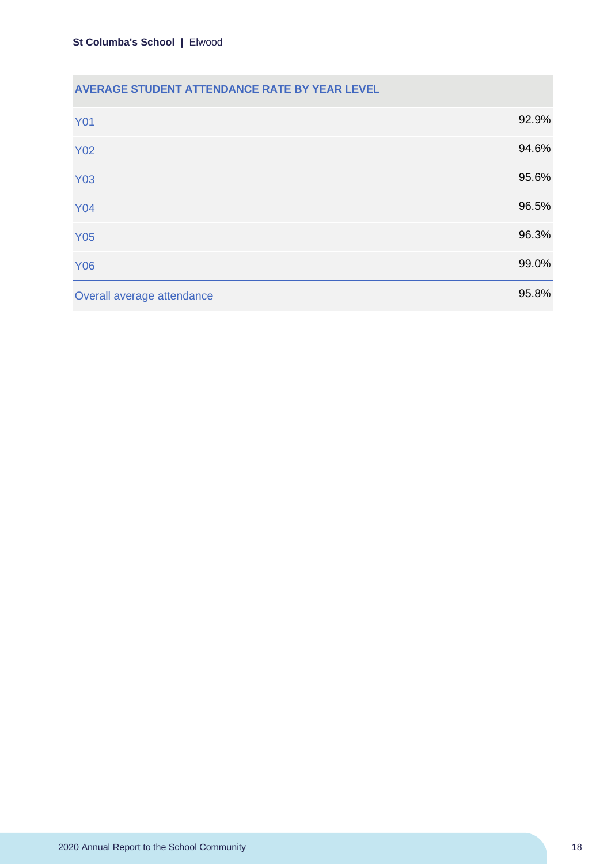#### **AVERAGE STUDENT ATTENDANCE RATE BY YEAR LEVEL**

| <b>Y01</b>                 | 92.9% |
|----------------------------|-------|
| <b>Y02</b>                 | 94.6% |
| <b>Y03</b>                 | 95.6% |
| <b>Y04</b>                 | 96.5% |
| <b>Y05</b>                 | 96.3% |
| <b>Y06</b>                 | 99.0% |
| Overall average attendance | 95.8% |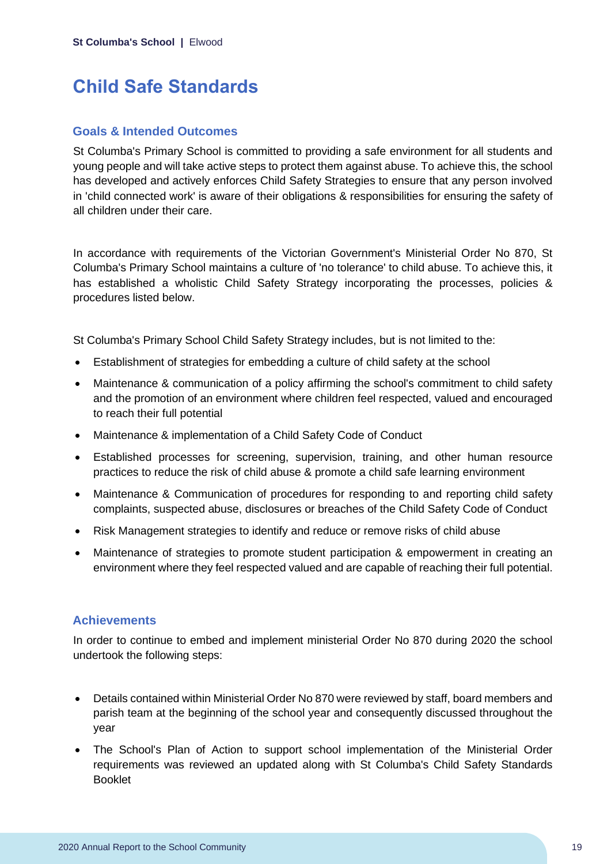## **Child Safe Standards**

#### **Goals & Intended Outcomes**

St Columba's Primary School is committed to providing a safe environment for all students and young people and will take active steps to protect them against abuse. To achieve this, the school has developed and actively enforces Child Safety Strategies to ensure that any person involved in 'child connected work' is aware of their obligations & responsibilities for ensuring the safety of all children under their care.

In accordance with requirements of the Victorian Government's Ministerial Order No 870, St Columba's Primary School maintains a culture of 'no tolerance' to child abuse. To achieve this, it has established a wholistic Child Safety Strategy incorporating the processes, policies & procedures listed below.

St Columba's Primary School Child Safety Strategy includes, but is not limited to the:

- Establishment of strategies for embedding a culture of child safety at the school
- Maintenance & communication of a policy affirming the school's commitment to child safety and the promotion of an environment where children feel respected, valued and encouraged to reach their full potential
- Maintenance & implementation of a Child Safety Code of Conduct
- Established processes for screening, supervision, training, and other human resource practices to reduce the risk of child abuse & promote a child safe learning environment
- Maintenance & Communication of procedures for responding to and reporting child safety complaints, suspected abuse, disclosures or breaches of the Child Safety Code of Conduct
- Risk Management strategies to identify and reduce or remove risks of child abuse
- Maintenance of strategies to promote student participation & empowerment in creating an environment where they feel respected valued and are capable of reaching their full potential.

#### **Achievements**

In order to continue to embed and implement ministerial Order No 870 during 2020 the school undertook the following steps:

- Details contained within Ministerial Order No 870 were reviewed by staff, board members and parish team at the beginning of the school year and consequently discussed throughout the year
- The School's Plan of Action to support school implementation of the Ministerial Order requirements was reviewed an updated along with St Columba's Child Safety Standards Booklet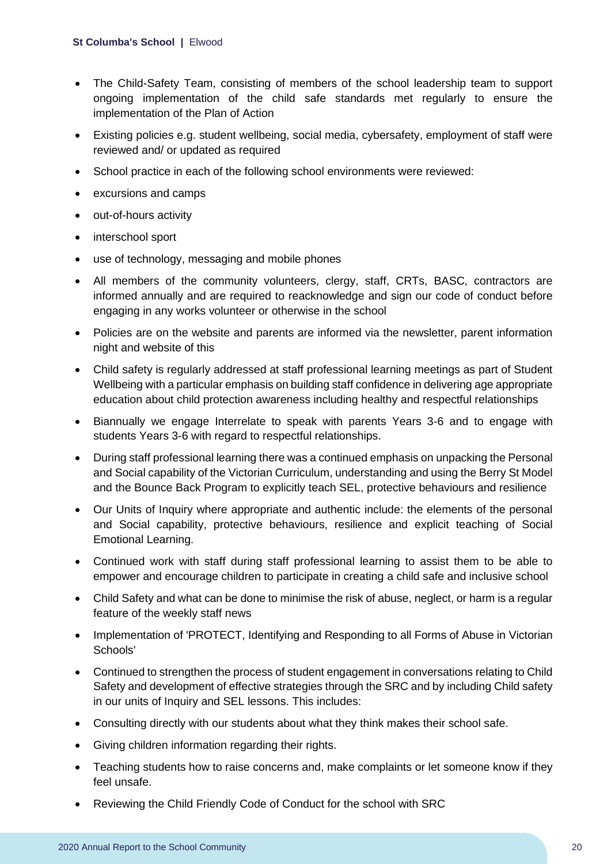#### **St Columba's School |** Elwood

- The Child-Safety Team, consisting of members of the school leadership team to support ongoing implementation of the child safe standards met regularly to ensure the implementation of the Plan of Action
- Existing policies e.g. student wellbeing, social media, cybersafety, employment of staff were reviewed and/ or updated as required
- School practice in each of the following school environments were reviewed:
- excursions and camps
- out-of-hours activity
- interschool sport
- use of technology, messaging and mobile phones
- All members of the community volunteers, clergy, staff, CRTs, BASC, contractors are informed annually and are required to reacknowledge and sign our code of conduct before engaging in any works volunteer or otherwise in the school
- Policies are on the website and parents are informed via the newsletter, parent information night and website of this
- Child safety is regularly addressed at staff professional learning meetings as part of Student Wellbeing with a particular emphasis on building staff confidence in delivering age appropriate education about child protection awareness including healthy and respectful relationships
- Biannually we engage Interrelate to speak with parents Years 3-6 and to engage with students Years 3-6 with regard to respectful relationships.
- During staff professional learning there was a continued emphasis on unpacking the Personal and Social capability of the Victorian Curriculum, understanding and using the Berry St Model and the Bounce Back Program to explicitly teach SEL, protective behaviours and resilience
- Our Units of Inquiry where appropriate and authentic include: the elements of the personal and Social capability, protective behaviours, resilience and explicit teaching of Social Emotional Learning.
- Continued work with staff during staff professional learning to assist them to be able to empower and encourage children to participate in creating a child safe and inclusive school
- Child Safety and what can be done to minimise the risk of abuse, neglect, or harm is a regular feature of the weekly staff news
- Implementation of 'PROTECT, Identifying and Responding to all Forms of Abuse in Victorian Schools'
- Continued to strengthen the process of student engagement in conversations relating to Child Safety and development of effective strategies through the SRC and by including Child safety in our units of Inquiry and SEL lessons. This includes:
- Consulting directly with our students about what they think makes their school safe.
- Giving children information regarding their rights.
- Teaching students how to raise concerns and, make complaints or let someone know if they feel unsafe.
- Reviewing the Child Friendly Code of Conduct for the school with SRC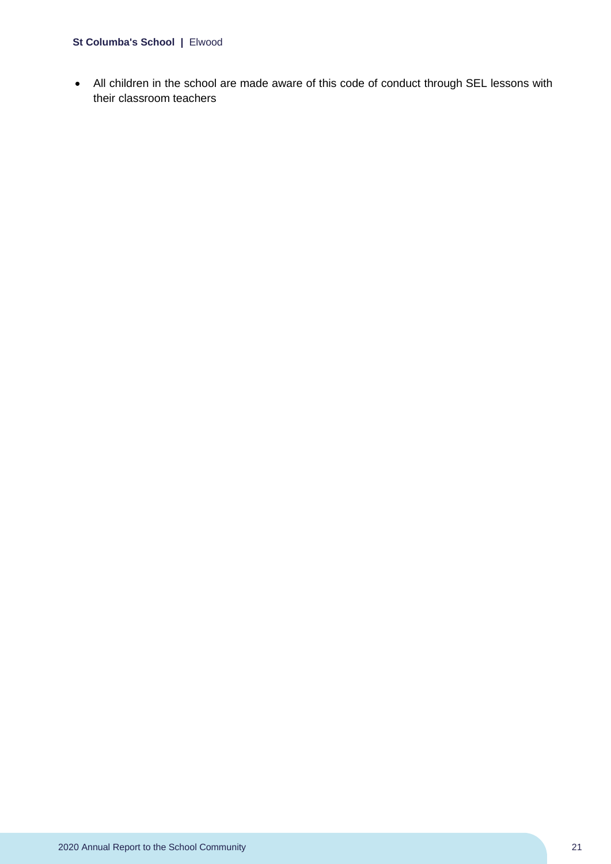#### **St Columba's School |** Elwood

• All children in the school are made aware of this code of conduct through SEL lessons with their classroom teachers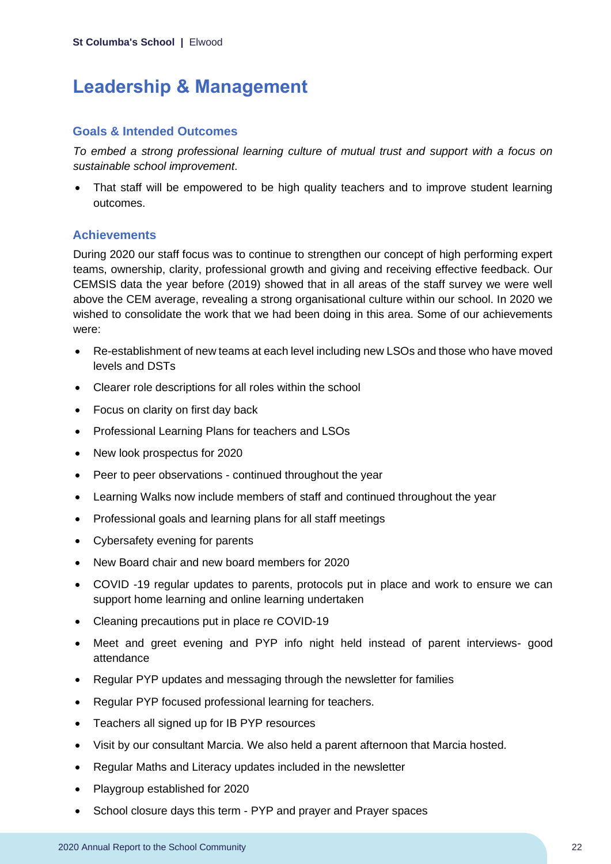## **Leadership & Management**

#### **Goals & Intended Outcomes**

*To embed a strong professional learning culture of mutual trust and support with a focus on sustainable school improvement*.

• That staff will be empowered to be high quality teachers and to improve student learning outcomes.

#### **Achievements**

During 2020 our staff focus was to continue to strengthen our concept of high performing expert teams, ownership, clarity, professional growth and giving and receiving effective feedback. Our CEMSIS data the year before (2019) showed that in all areas of the staff survey we were well above the CEM average, revealing a strong organisational culture within our school. In 2020 we wished to consolidate the work that we had been doing in this area. Some of our achievements were:

- Re-establishment of new teams at each level including new LSOs and those who have moved levels and DSTs
- Clearer role descriptions for all roles within the school
- Focus on clarity on first day back
- Professional Learning Plans for teachers and LSOs
- New look prospectus for 2020
- Peer to peer observations continued throughout the year
- Learning Walks now include members of staff and continued throughout the year
- Professional goals and learning plans for all staff meetings
- Cybersafety evening for parents
- New Board chair and new board members for 2020
- COVID -19 regular updates to parents, protocols put in place and work to ensure we can support home learning and online learning undertaken
- Cleaning precautions put in place re COVID-19
- Meet and greet evening and PYP info night held instead of parent interviews- good attendance
- Regular PYP updates and messaging through the newsletter for families
- Regular PYP focused professional learning for teachers.
- Teachers all signed up for IB PYP resources
- Visit by our consultant Marcia. We also held a parent afternoon that Marcia hosted.
- Regular Maths and Literacy updates included in the newsletter
- Playgroup established for 2020
- School closure days this term PYP and prayer and Prayer spaces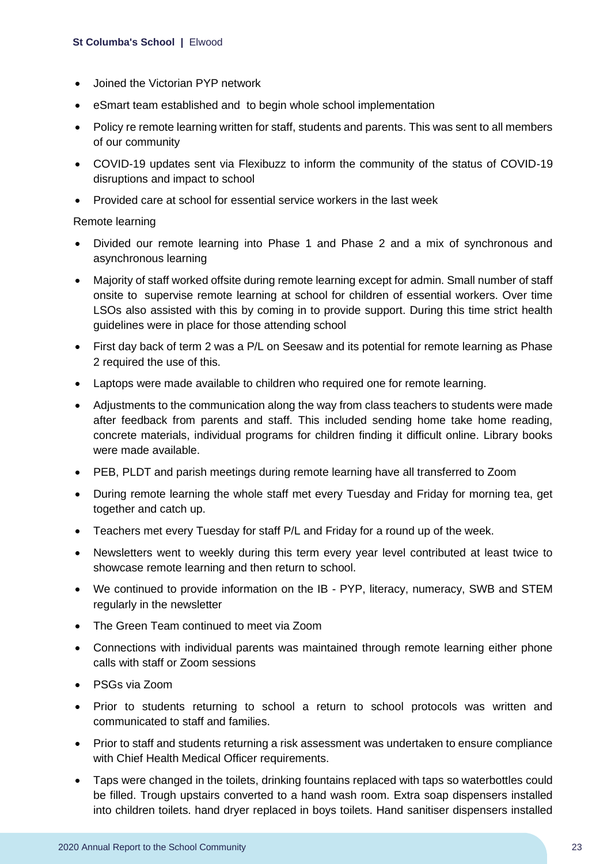- Joined the Victorian PYP network
- eSmart team established and to begin whole school implementation
- Policy re remote learning written for staff, students and parents. This was sent to all members of our community
- COVID-19 updates sent via Flexibuzz to inform the community of the status of COVID-19 disruptions and impact to school
- Provided care at school for essential service workers in the last week

Remote learning

- Divided our remote learning into Phase 1 and Phase 2 and a mix of synchronous and asynchronous learning
- Majority of staff worked offsite during remote learning except for admin. Small number of staff onsite to supervise remote learning at school for children of essential workers. Over time LSOs also assisted with this by coming in to provide support. During this time strict health guidelines were in place for those attending school
- First day back of term 2 was a P/L on Seesaw and its potential for remote learning as Phase 2 required the use of this.
- Laptops were made available to children who required one for remote learning.
- Adjustments to the communication along the way from class teachers to students were made after feedback from parents and staff. This included sending home take home reading, concrete materials, individual programs for children finding it difficult online. Library books were made available.
- PEB, PLDT and parish meetings during remote learning have all transferred to Zoom
- During remote learning the whole staff met every Tuesday and Friday for morning tea, get together and catch up.
- Teachers met every Tuesday for staff P/L and Friday for a round up of the week.
- Newsletters went to weekly during this term every year level contributed at least twice to showcase remote learning and then return to school.
- We continued to provide information on the IB PYP, literacy, numeracy, SWB and STEM regularly in the newsletter
- The Green Team continued to meet via Zoom
- Connections with individual parents was maintained through remote learning either phone calls with staff or Zoom sessions
- PSGs via Zoom
- Prior to students returning to school a return to school protocols was written and communicated to staff and families.
- Prior to staff and students returning a risk assessment was undertaken to ensure compliance with Chief Health Medical Officer requirements.
- Taps were changed in the toilets, drinking fountains replaced with taps so waterbottles could be filled. Trough upstairs converted to a hand wash room. Extra soap dispensers installed into children toilets. hand dryer replaced in boys toilets. Hand sanitiser dispensers installed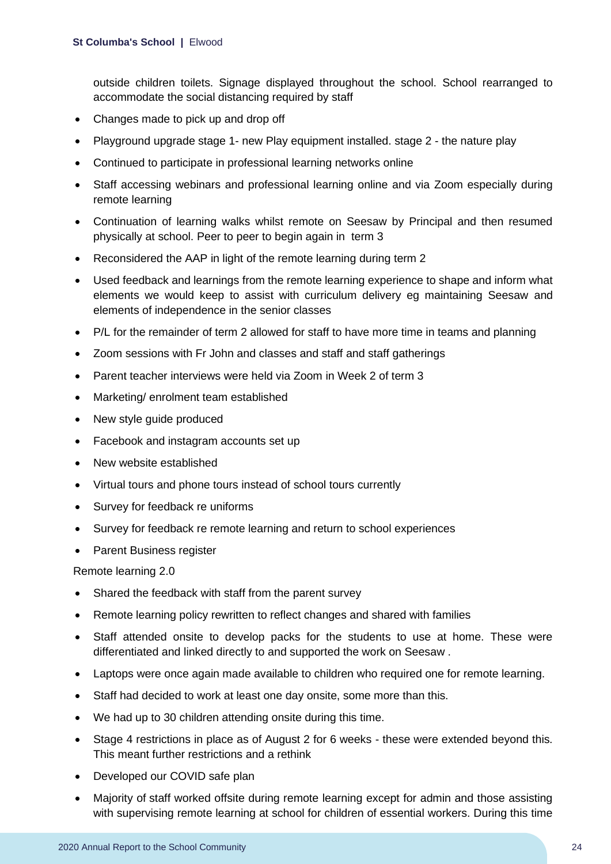outside children toilets. Signage displayed throughout the school. School rearranged to accommodate the social distancing required by staff

- Changes made to pick up and drop off
- Playground upgrade stage 1- new Play equipment installed. stage 2 the nature play
- Continued to participate in professional learning networks online
- Staff accessing webinars and professional learning online and via Zoom especially during remote learning
- Continuation of learning walks whilst remote on Seesaw by Principal and then resumed physically at school. Peer to peer to begin again in term 3
- Reconsidered the AAP in light of the remote learning during term 2
- Used feedback and learnings from the remote learning experience to shape and inform what elements we would keep to assist with curriculum delivery eg maintaining Seesaw and elements of independence in the senior classes
- P/L for the remainder of term 2 allowed for staff to have more time in teams and planning
- Zoom sessions with Fr John and classes and staff and staff gatherings
- Parent teacher interviews were held via Zoom in Week 2 of term 3
- Marketing/ enrolment team established
- New style guide produced
- Facebook and instagram accounts set up
- New website established
- Virtual tours and phone tours instead of school tours currently
- Survey for feedback re uniforms
- Survey for feedback re remote learning and return to school experiences
- Parent Business register

Remote learning 2.0

- Shared the feedback with staff from the parent survey
- Remote learning policy rewritten to reflect changes and shared with families
- Staff attended onsite to develop packs for the students to use at home. These were differentiated and linked directly to and supported the work on Seesaw .
- Laptops were once again made available to children who required one for remote learning.
- Staff had decided to work at least one day onsite, some more than this.
- We had up to 30 children attending onsite during this time.
- Stage 4 restrictions in place as of August 2 for 6 weeks these were extended beyond this. This meant further restrictions and a rethink
- Developed our COVID safe plan
- Majority of staff worked offsite during remote learning except for admin and those assisting with supervising remote learning at school for children of essential workers. During this time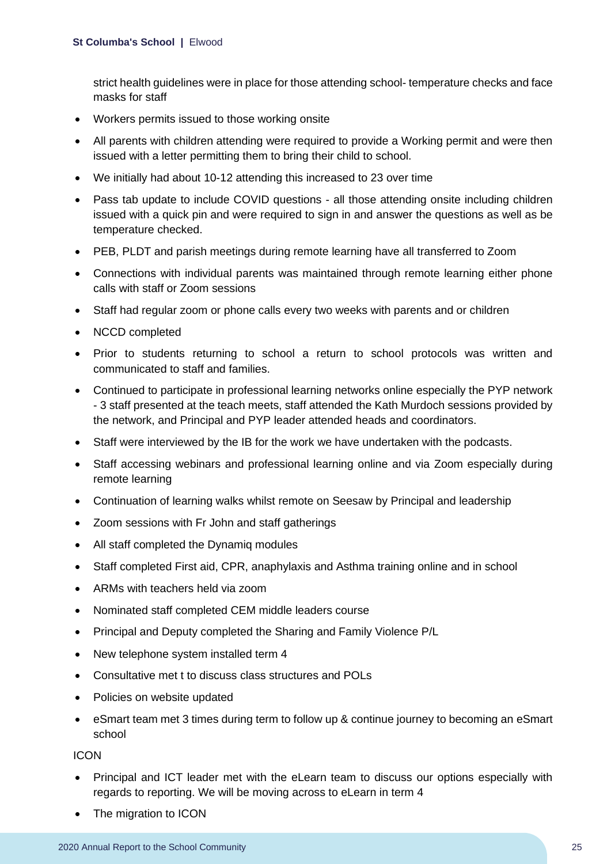strict health guidelines were in place for those attending school- temperature checks and face masks for staff

- Workers permits issued to those working onsite
- All parents with children attending were required to provide a Working permit and were then issued with a letter permitting them to bring their child to school.
- We initially had about 10-12 attending this increased to 23 over time
- Pass tab update to include COVID questions all those attending onsite including children issued with a quick pin and were required to sign in and answer the questions as well as be temperature checked.
- PEB, PLDT and parish meetings during remote learning have all transferred to Zoom
- Connections with individual parents was maintained through remote learning either phone calls with staff or Zoom sessions
- Staff had regular zoom or phone calls every two weeks with parents and or children
- NCCD completed
- Prior to students returning to school a return to school protocols was written and communicated to staff and families.
- Continued to participate in professional learning networks online especially the PYP network - 3 staff presented at the teach meets, staff attended the Kath Murdoch sessions provided by the network, and Principal and PYP leader attended heads and coordinators.
- Staff were interviewed by the IB for the work we have undertaken with the podcasts.
- Staff accessing webinars and professional learning online and via Zoom especially during remote learning
- Continuation of learning walks whilst remote on Seesaw by Principal and leadership
- Zoom sessions with Fr John and staff gatherings
- All staff completed the Dynamiq modules
- Staff completed First aid, CPR, anaphylaxis and Asthma training online and in school
- ARMs with teachers held via zoom
- Nominated staff completed CEM middle leaders course
- Principal and Deputy completed the Sharing and Family Violence P/L
- New telephone system installed term 4
- Consultative met t to discuss class structures and POLs
- Policies on website updated
- eSmart team met 3 times during term to follow up & continue journey to becoming an eSmart school

ICON

- Principal and ICT leader met with the eLearn team to discuss our options especially with regards to reporting. We will be moving across to eLearn in term 4
- The migration to ICON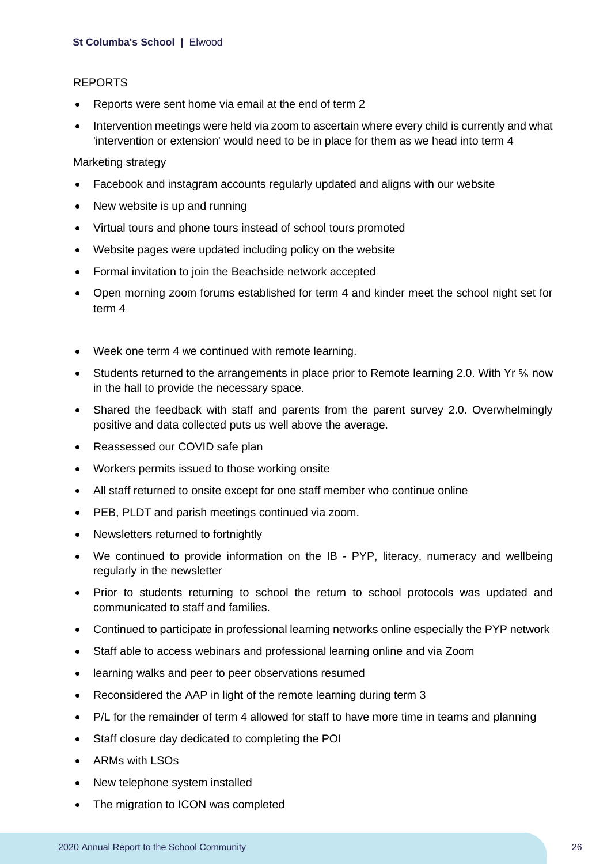#### REPORTS

- Reports were sent home via email at the end of term 2
- Intervention meetings were held via zoom to ascertain where every child is currently and what 'intervention or extension' would need to be in place for them as we head into term 4

Marketing strategy

- Facebook and instagram accounts regularly updated and aligns with our website
- New website is up and running
- Virtual tours and phone tours instead of school tours promoted
- Website pages were updated including policy on the website
- Formal invitation to join the Beachside network accepted
- Open morning zoom forums established for term 4 and kinder meet the school night set for term 4
- Week one term 4 we continued with remote learning.
- Students returned to the arrangements in place prior to Remote learning 2.0. With Yr  $\frac{5}{6}$  now in the hall to provide the necessary space.
- Shared the feedback with staff and parents from the parent survey 2.0. Overwhelmingly positive and data collected puts us well above the average.
- Reassessed our COVID safe plan
- Workers permits issued to those working onsite
- All staff returned to onsite except for one staff member who continue online
- PEB, PLDT and parish meetings continued via zoom.
- Newsletters returned to fortnightly
- We continued to provide information on the IB PYP, literacy, numeracy and wellbeing regularly in the newsletter
- Prior to students returning to school the return to school protocols was updated and communicated to staff and families.
- Continued to participate in professional learning networks online especially the PYP network
- Staff able to access webinars and professional learning online and via Zoom
- learning walks and peer to peer observations resumed
- Reconsidered the AAP in light of the remote learning during term 3
- P/L for the remainder of term 4 allowed for staff to have more time in teams and planning
- Staff closure day dedicated to completing the POI
- ARMs with LSOs
- New telephone system installed
- The migration to ICON was completed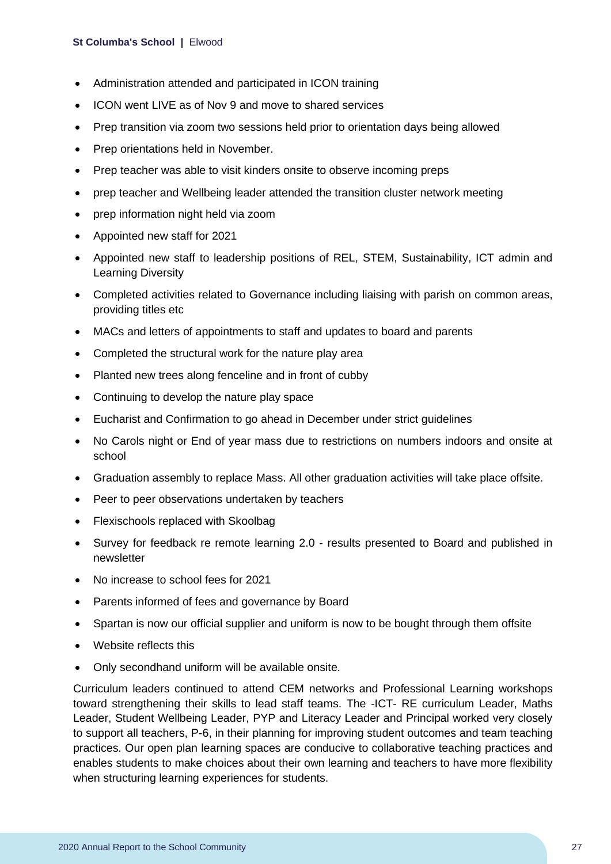#### **St Columba's School |** Elwood

- Administration attended and participated in ICON training
- ICON went LIVE as of Nov 9 and move to shared services
- Prep transition via zoom two sessions held prior to orientation days being allowed
- Prep orientations held in November.
- Prep teacher was able to visit kinders onsite to observe incoming preps
- prep teacher and Wellbeing leader attended the transition cluster network meeting
- prep information night held via zoom
- Appointed new staff for 2021
- Appointed new staff to leadership positions of REL, STEM, Sustainability, ICT admin and Learning Diversity
- Completed activities related to Governance including liaising with parish on common areas, providing titles etc
- MACs and letters of appointments to staff and updates to board and parents
- Completed the structural work for the nature play area
- Planted new trees along fenceline and in front of cubby
- Continuing to develop the nature play space
- Eucharist and Confirmation to go ahead in December under strict guidelines
- No Carols night or End of year mass due to restrictions on numbers indoors and onsite at school
- Graduation assembly to replace Mass. All other graduation activities will take place offsite.
- Peer to peer observations undertaken by teachers
- Flexischools replaced with Skoolbag
- Survey for feedback re remote learning 2.0 results presented to Board and published in newsletter
- No increase to school fees for 2021
- Parents informed of fees and governance by Board
- Spartan is now our official supplier and uniform is now to be bought through them offsite
- Website reflects this
- Only secondhand uniform will be available onsite.

Curriculum leaders continued to attend CEM networks and Professional Learning workshops toward strengthening their skills to lead staff teams. The -ICT- RE curriculum Leader, Maths Leader, Student Wellbeing Leader, PYP and Literacy Leader and Principal worked very closely to support all teachers, P-6, in their planning for improving student outcomes and team teaching practices. Our open plan learning spaces are conducive to collaborative teaching practices and enables students to make choices about their own learning and teachers to have more flexibility when structuring learning experiences for students.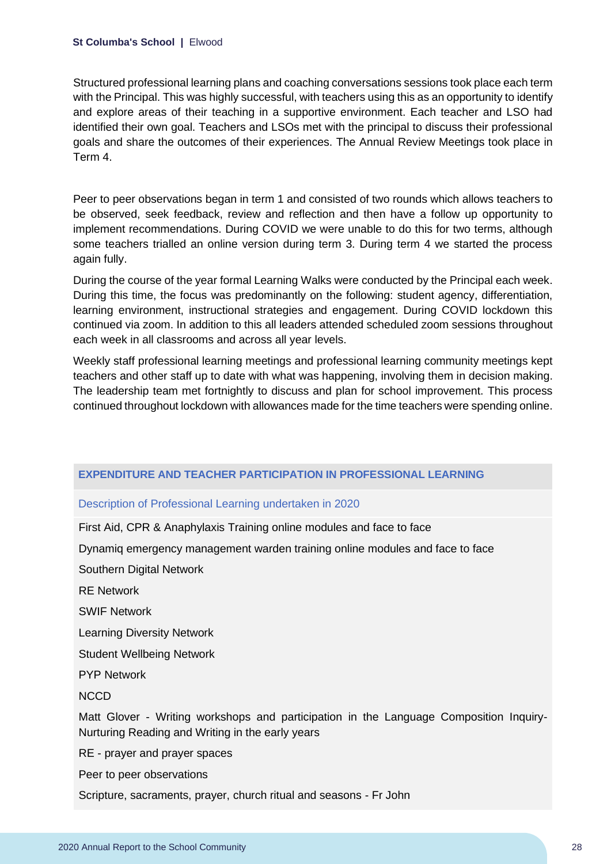Structured professional learning plans and coaching conversations sessions took place each term with the Principal. This was highly successful, with teachers using this as an opportunity to identify and explore areas of their teaching in a supportive environment. Each teacher and LSO had identified their own goal. Teachers and LSOs met with the principal to discuss their professional goals and share the outcomes of their experiences. The Annual Review Meetings took place in Term 4.

Peer to peer observations began in term 1 and consisted of two rounds which allows teachers to be observed, seek feedback, review and reflection and then have a follow up opportunity to implement recommendations. During COVID we were unable to do this for two terms, although some teachers trialled an online version during term 3. During term 4 we started the process again fully.

During the course of the year formal Learning Walks were conducted by the Principal each week. During this time, the focus was predominantly on the following: student agency, differentiation, learning environment, instructional strategies and engagement. During COVID lockdown this continued via zoom. In addition to this all leaders attended scheduled zoom sessions throughout each week in all classrooms and across all year levels.

Weekly staff professional learning meetings and professional learning community meetings kept teachers and other staff up to date with what was happening, involving them in decision making. The leadership team met fortnightly to discuss and plan for school improvement. This process continued throughout lockdown with allowances made for the time teachers were spending online.

#### **EXPENDITURE AND TEACHER PARTICIPATION IN PROFESSIONAL LEARNING**

#### Description of Professional Learning undertaken in 2020

First Aid, CPR & Anaphylaxis Training online modules and face to face

Dynamiq emergency management warden training online modules and face to face

Southern Digital Network

RE Network

SWIF Network

Learning Diversity Network

Student Wellbeing Network

PYP Network

**NCCD** 

Matt Glover - Writing workshops and participation in the Language Composition Inquiry-Nurturing Reading and Writing in the early years

RE - prayer and prayer spaces

Peer to peer observations

Scripture, sacraments, prayer, church ritual and seasons - Fr John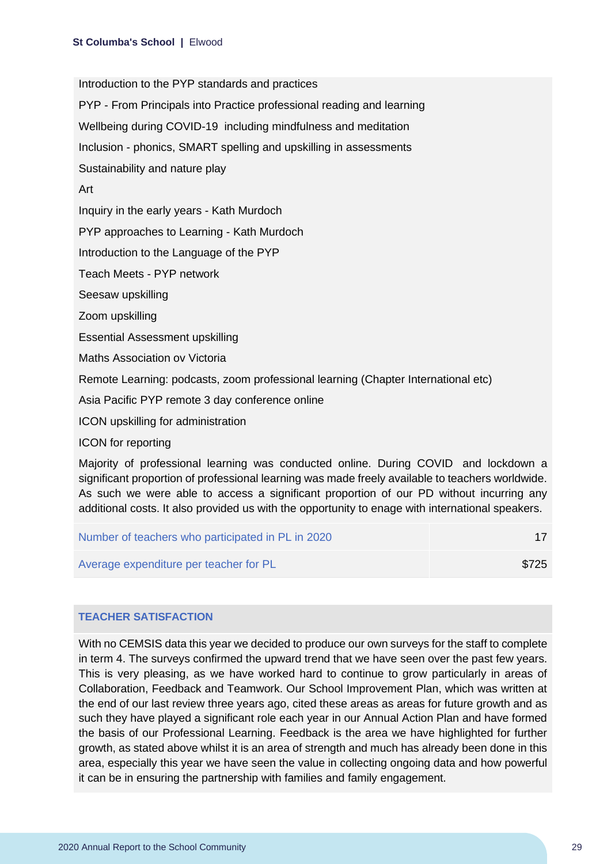Introduction to the PYP standards and practices

PYP - From Principals into Practice professional reading and learning

Wellbeing during COVID-19 including mindfulness and meditation

Inclusion - phonics, SMART spelling and upskilling in assessments

Sustainability and nature play

Art

Inquiry in the early years - Kath Murdoch

PYP approaches to Learning - Kath Murdoch

Introduction to the Language of the PYP

Teach Meets - PYP network

Seesaw upskilling

Zoom upskilling

Essential Assessment upskilling

Maths Association ov Victoria

Remote Learning: podcasts, zoom professional learning (Chapter International etc)

Asia Pacific PYP remote 3 day conference online

ICON upskilling for administration

ICON for reporting

Majority of professional learning was conducted online. During COVID and lockdown a significant proportion of professional learning was made freely available to teachers worldwide. As such we were able to access a significant proportion of our PD without incurring any additional costs. It also provided us with the opportunity to enage with international speakers.

| Number of teachers who participated in PL in 2020 |       |
|---------------------------------------------------|-------|
| Average expenditure per teacher for PL            | \$725 |

#### **TEACHER SATISFACTION**

With no CEMSIS data this year we decided to produce our own surveys for the staff to complete in term 4. The surveys confirmed the upward trend that we have seen over the past few years. This is very pleasing, as we have worked hard to continue to grow particularly in areas of Collaboration, Feedback and Teamwork. Our School Improvement Plan, which was written at the end of our last review three years ago, cited these areas as areas for future growth and as such they have played a significant role each year in our Annual Action Plan and have formed the basis of our Professional Learning. Feedback is the area we have highlighted for further growth, as stated above whilst it is an area of strength and much has already been done in this area, especially this year we have seen the value in collecting ongoing data and how powerful it can be in ensuring the partnership with families and family engagement.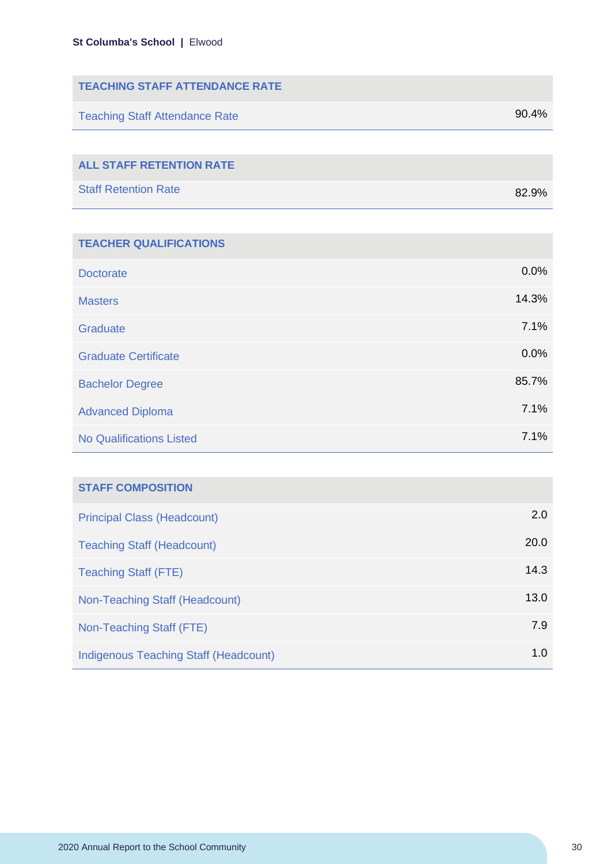| <b>TEACHING STAFF ATTENDANCE RATE</b> |       |
|---------------------------------------|-------|
| <b>Teaching Staff Attendance Rate</b> | 90.4% |
|                                       |       |
| <b>ALL STAFF RETENTION RATE</b>       |       |
| <b>Staff Retention Rate</b>           | 82.9% |
|                                       |       |

| <b>TEACHER QUALIFICATIONS</b>   |       |
|---------------------------------|-------|
| <b>Doctorate</b>                | 0.0%  |
| <b>Masters</b>                  | 14.3% |
| Graduate                        | 7.1%  |
| <b>Graduate Certificate</b>     | 0.0%  |
| <b>Bachelor Degree</b>          | 85.7% |
| <b>Advanced Diploma</b>         | 7.1%  |
| <b>No Qualifications Listed</b> | 7.1%  |

| <b>STAFF COMPOSITION</b>              |      |
|---------------------------------------|------|
| <b>Principal Class (Headcount)</b>    | 2.0  |
| <b>Teaching Staff (Headcount)</b>     | 20.0 |
| <b>Teaching Staff (FTE)</b>           | 14.3 |
| Non-Teaching Staff (Headcount)        | 13.0 |
| Non-Teaching Staff (FTE)              | 7.9  |
| Indigenous Teaching Staff (Headcount) | 1.0  |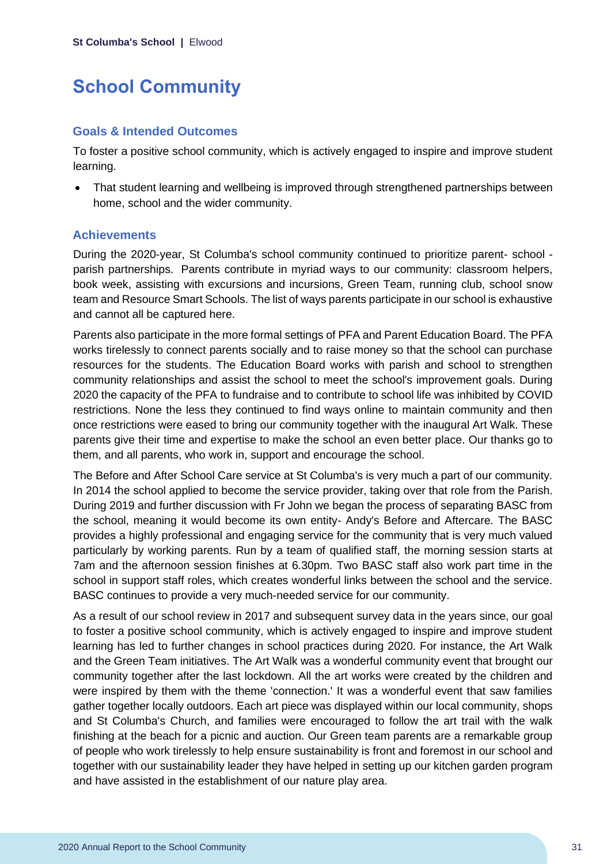## **School Community**

#### **Goals & Intended Outcomes**

To foster a positive school community, which is actively engaged to inspire and improve student learning.

• That student learning and wellbeing is improved through strengthened partnerships between home, school and the wider community.

#### **Achievements**

During the 2020-year, St Columba's school community continued to prioritize parent- school parish partnerships. Parents contribute in myriad ways to our community: classroom helpers, book week, assisting with excursions and incursions, Green Team, running club, school snow team and Resource Smart Schools. The list of ways parents participate in our school is exhaustive and cannot all be captured here.

Parents also participate in the more formal settings of PFA and Parent Education Board. The PFA works tirelessly to connect parents socially and to raise money so that the school can purchase resources for the students. The Education Board works with parish and school to strengthen community relationships and assist the school to meet the school's improvement goals. During 2020 the capacity of the PFA to fundraise and to contribute to school life was inhibited by COVID restrictions. None the less they continued to find ways online to maintain community and then once restrictions were eased to bring our community together with the inaugural Art Walk. These parents give their time and expertise to make the school an even better place. Our thanks go to them, and all parents, who work in, support and encourage the school.

The Before and After School Care service at St Columba's is very much a part of our community. In 2014 the school applied to become the service provider, taking over that role from the Parish. During 2019 and further discussion with Fr John we began the process of separating BASC from the school, meaning it would become its own entity- Andy's Before and Aftercare. The BASC provides a highly professional and engaging service for the community that is very much valued particularly by working parents. Run by a team of qualified staff, the morning session starts at 7am and the afternoon session finishes at 6.30pm. Two BASC staff also work part time in the school in support staff roles, which creates wonderful links between the school and the service. BASC continues to provide a very much-needed service for our community.

As a result of our school review in 2017 and subsequent survey data in the years since, our goal to foster a positive school community, which is actively engaged to inspire and improve student learning has led to further changes in school practices during 2020. For instance, the Art Walk and the Green Team initiatives. The Art Walk was a wonderful community event that brought our community together after the last lockdown. All the art works were created by the children and were inspired by them with the theme 'connection.' It was a wonderful event that saw families gather together locally outdoors. Each art piece was displayed within our local community, shops and St Columba's Church, and families were encouraged to follow the art trail with the walk finishing at the beach for a picnic and auction. Our Green team parents are a remarkable group of people who work tirelessly to help ensure sustainability is front and foremost in our school and together with our sustainability leader they have helped in setting up our kitchen garden program and have assisted in the establishment of our nature play area.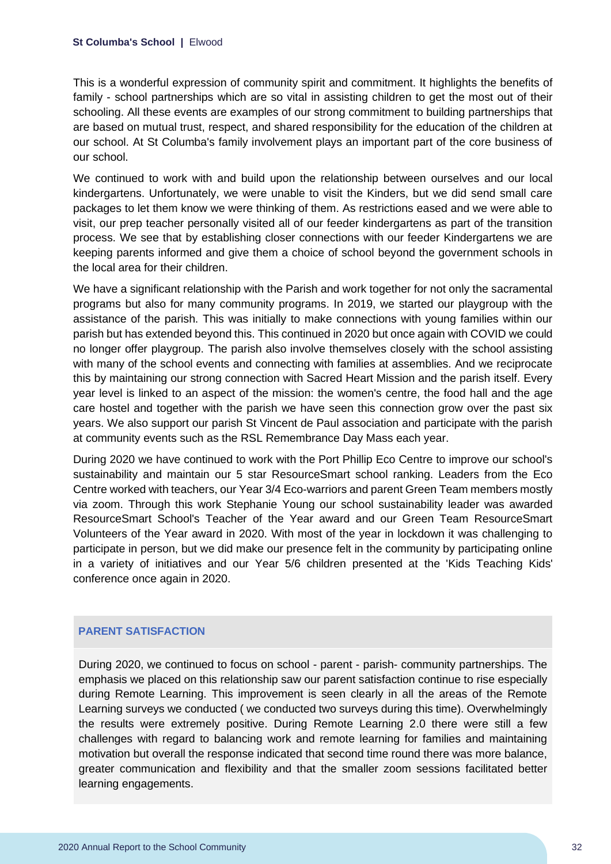#### **St Columba's School |** Elwood

This is a wonderful expression of community spirit and commitment. It highlights the benefits of family - school partnerships which are so vital in assisting children to get the most out of their schooling. All these events are examples of our strong commitment to building partnerships that are based on mutual trust, respect, and shared responsibility for the education of the children at our school. At St Columba's family involvement plays an important part of the core business of our school.

We continued to work with and build upon the relationship between ourselves and our local kindergartens. Unfortunately, we were unable to visit the Kinders, but we did send small care packages to let them know we were thinking of them. As restrictions eased and we were able to visit, our prep teacher personally visited all of our feeder kindergartens as part of the transition process. We see that by establishing closer connections with our feeder Kindergartens we are keeping parents informed and give them a choice of school beyond the government schools in the local area for their children.

We have a significant relationship with the Parish and work together for not only the sacramental programs but also for many community programs. In 2019, we started our playgroup with the assistance of the parish. This was initially to make connections with young families within our parish but has extended beyond this. This continued in 2020 but once again with COVID we could no longer offer playgroup. The parish also involve themselves closely with the school assisting with many of the school events and connecting with families at assemblies. And we reciprocate this by maintaining our strong connection with Sacred Heart Mission and the parish itself. Every year level is linked to an aspect of the mission: the women's centre, the food hall and the age care hostel and together with the parish we have seen this connection grow over the past six years. We also support our parish St Vincent de Paul association and participate with the parish at community events such as the RSL Remembrance Day Mass each year.

During 2020 we have continued to work with the Port Phillip Eco Centre to improve our school's sustainability and maintain our 5 star ResourceSmart school ranking. Leaders from the Eco Centre worked with teachers, our Year 3/4 Eco-warriors and parent Green Team members mostly via zoom. Through this work Stephanie Young our school sustainability leader was awarded ResourceSmart School's Teacher of the Year award and our Green Team ResourceSmart Volunteers of the Year award in 2020. With most of the year in lockdown it was challenging to participate in person, but we did make our presence felt in the community by participating online in a variety of initiatives and our Year 5/6 children presented at the 'Kids Teaching Kids' conference once again in 2020.

#### **PARENT SATISFACTION**

During 2020, we continued to focus on school - parent - parish- community partnerships. The emphasis we placed on this relationship saw our parent satisfaction continue to rise especially during Remote Learning. This improvement is seen clearly in all the areas of the Remote Learning surveys we conducted ( we conducted two surveys during this time). Overwhelmingly the results were extremely positive. During Remote Learning 2.0 there were still a few challenges with regard to balancing work and remote learning for families and maintaining motivation but overall the response indicated that second time round there was more balance, greater communication and flexibility and that the smaller zoom sessions facilitated better learning engagements.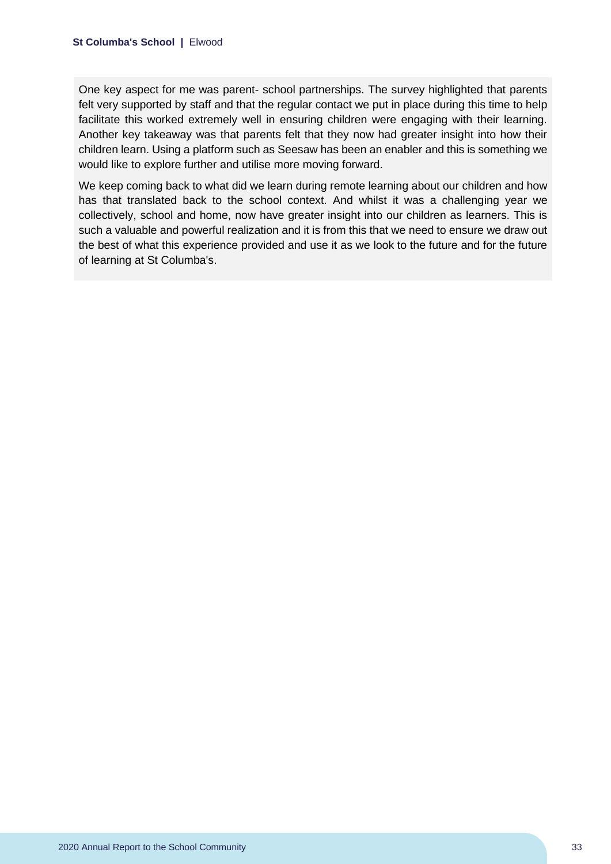One key aspect for me was parent- school partnerships. The survey highlighted that parents felt very supported by staff and that the regular contact we put in place during this time to help facilitate this worked extremely well in ensuring children were engaging with their learning. Another key takeaway was that parents felt that they now had greater insight into how their children learn. Using a platform such as Seesaw has been an enabler and this is something we would like to explore further and utilise more moving forward.

We keep coming back to what did we learn during remote learning about our children and how has that translated back to the school context. And whilst it was a challenging year we collectively, school and home, now have greater insight into our children as learners. This is such a valuable and powerful realization and it is from this that we need to ensure we draw out the best of what this experience provided and use it as we look to the future and for the future of learning at St Columba's.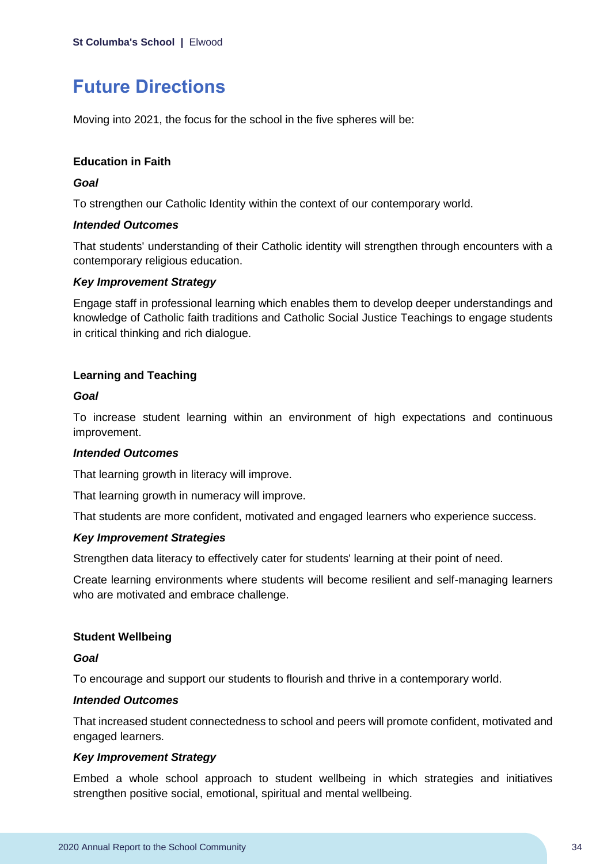## **Future Directions**

Moving into 2021, the focus for the school in the five spheres will be:

#### **Education in Faith**

#### *Goal*

To strengthen our Catholic Identity within the context of our contemporary world.

#### *Intended Outcomes*

That students' understanding of their Catholic identity will strengthen through encounters with a contemporary religious education.

#### *Key Improvement Strategy*

Engage staff in professional learning which enables them to develop deeper understandings and knowledge of Catholic faith traditions and Catholic Social Justice Teachings to engage students in critical thinking and rich dialogue.

#### **Learning and Teaching**

#### *Goal*

To increase student learning within an environment of high expectations and continuous improvement.

#### *Intended Outcomes*

That learning growth in literacy will improve.

That learning growth in numeracy will improve.

That students are more confident, motivated and engaged learners who experience success.

#### *Key Improvement Strategies*

Strengthen data literacy to effectively cater for students' learning at their point of need.

Create learning environments where students will become resilient and self-managing learners who are motivated and embrace challenge.

#### **Student Wellbeing**

#### *Goal*

To encourage and support our students to flourish and thrive in a contemporary world.

#### *Intended Outcomes*

That increased student connectedness to school and peers will promote confident, motivated and engaged learners.

#### *Key Improvement Strategy*

Embed a whole school approach to student wellbeing in which strategies and initiatives strengthen positive social, emotional, spiritual and mental wellbeing.